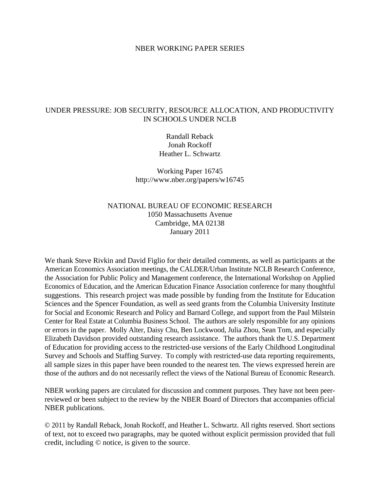### NBER WORKING PAPER SERIES

# UNDER PRESSURE: JOB SECURITY, RESOURCE ALLOCATION, AND PRODUCTIVITY IN SCHOOLS UNDER NCLB

Randall Reback Jonah Rockoff Heather L. Schwartz

Working Paper 16745 http://www.nber.org/papers/w16745

# NATIONAL BUREAU OF ECONOMIC RESEARCH 1050 Massachusetts Avenue Cambridge, MA 02138 January 2011

We thank Steve Rivkin and David Figlio for their detailed comments, as well as participants at the American Economics Association meetings, the CALDER/Urban Institute NCLB Research Conference, the Association for Public Policy and Management conference, the International Workshop on Applied Economics of Education, and the American Education Finance Association conference for many thoughtful suggestions. This research project was made possible by funding from the Institute for Education Sciences and the Spencer Foundation, as well as seed grants from the Columbia University Institute for Social and Economic Research and Policy and Barnard College, and support from the Paul Milstein Center for Real Estate at Columbia Business School. The authors are solely responsible for any opinions or errors in the paper. Molly Alter, Daisy Chu, Ben Lockwood, Julia Zhou, Sean Tom, and especially Elizabeth Davidson provided outstanding research assistance. The authors thank the U.S. Department of Education for providing access to the restricted-use versions of the Early Childhood Longitudinal Survey and Schools and Staffing Survey. To comply with restricted-use data reporting requirements, all sample sizes in this paper have been rounded to the nearest ten. The views expressed herein are those of the authors and do not necessarily reflect the views of the National Bureau of Economic Research.

NBER working papers are circulated for discussion and comment purposes. They have not been peerreviewed or been subject to the review by the NBER Board of Directors that accompanies official NBER publications.

© 2011 by Randall Reback, Jonah Rockoff, and Heather L. Schwartz. All rights reserved. Short sections of text, not to exceed two paragraphs, may be quoted without explicit permission provided that full credit, including © notice, is given to the source.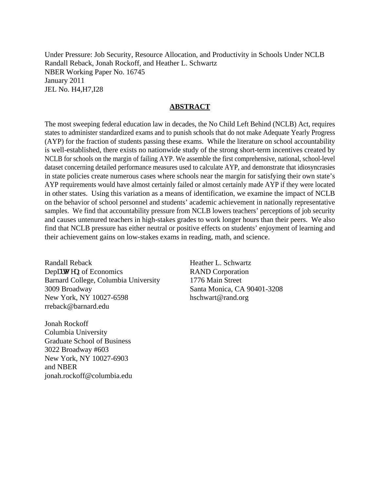Under Pressure: Job Security, Resource Allocation, and Productivity in Schools Under NCLB Randall Reback, Jonah Rockoff, and Heather L. Schwartz NBER Working Paper No. 16745 January 2011 JEL No. H4,H7,I28

## **ABSTRACT**

The most sweeping federal education law in decades, the No Child Left Behind (NCLB) Act, requires states to administer standardized exams and to punish schools that do not make Adequate Yearly Progress (AYP) for the fraction of students passing these exams. While the literature on school accountability is well-established, there exists no nationwide study of the strong short-term incentives created by NCLB for schools on the margin of failing AYP. We assemble the first comprehensive, national, school-level dataset concerning detailed performance measures used to calculate AYP, and demonstrate that idiosyncrasies in state policies create numerous cases where schools near the margin for satisfying their own state's AYP requirements would have almost certainly failed or almost certainly made AYP if they were located in other states. Using this variation as a means of identification, we examine the impact of NCLB on the behavior of school personnel and students' academic achievement in nationally representative samples. We find that accountability pressure from NCLB lowers teachers' perceptions of job security and causes untenured teachers in high-stakes grades to work longer hours than their peers. We also find that NCLB pressure has either neutral or positive effects on students' enjoyment of learning and their achievement gains on low-stakes exams in reading, math, and science.

Randall Reback Depct to gpt of Economics Barnard College, Columbia University 3009 Broadway New York, NY 10027-6598 rreback@barnard.edu

Jonah Rockoff Columbia University Graduate School of Business 3022 Broadway #603 New York, NY 10027-6903 and NBER jonah.rockoff@columbia.edu Heather L. Schwartz RAND Corporation 1776 Main Street Santa Monica, CA 90401-3208 hschwart@rand.org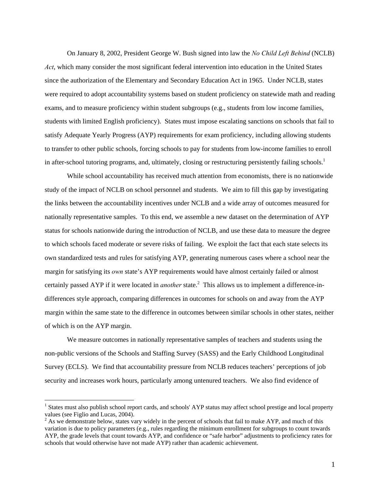On January 8, 2002, President George W. Bush signed into law the *No Child Left Behind* (NCLB) *Act*, which many consider the most significant federal intervention into education in the United States since the authorization of the Elementary and Secondary Education Act in 1965. Under NCLB, states were required to adopt accountability systems based on student proficiency on statewide math and reading exams, and to measure proficiency within student subgroups (e.g., students from low income families, students with limited English proficiency). States must impose escalating sanctions on schools that fail to satisfy Adequate Yearly Progress (AYP) requirements for exam proficiency, including allowing students to transfer to other public schools, forcing schools to pay for students from low-income families to enroll in after-school tutoring programs, and, ultimately, closing or restructuring persistently failing schools.<sup>1</sup>

While school accountability has received much attention from economists, there is no nationwide study of the impact of NCLB on school personnel and students. We aim to fill this gap by investigating the links between the accountability incentives under NCLB and a wide array of outcomes measured for nationally representative samples. To this end, we assemble a new dataset on the determination of AYP status for schools nationwide during the introduction of NCLB, and use these data to measure the degree to which schools faced moderate or severe risks of failing. We exploit the fact that each state selects its own standardized tests and rules for satisfying AYP, generating numerous cases where a school near the margin for satisfying its *own* state's AYP requirements would have almost certainly failed or almost certainly passed AYP if it were located in *another* state.<sup>2</sup> This allows us to implement a difference-indifferences style approach, comparing differences in outcomes for schools on and away from the AYP margin within the same state to the difference in outcomes between similar schools in other states, neither of which is on the AYP margin.

 We measure outcomes in nationally representative samples of teachers and students using the non-public versions of the Schools and Staffing Survey (SASS) and the Early Childhood Longitudinal Survey (ECLS). We find that accountability pressure from NCLB reduces teachers' perceptions of job security and increases work hours, particularly among untenured teachers. We also find evidence of

<sup>&</sup>lt;sup>1</sup> States must also publish school report cards, and schools' AYP status may affect school prestige and local property values (see Figlio and Lucas, 2004).

 $2^{2}$  As we demonstrate below, states vary widely in the percent of schools that fail to make AYP, and much of this variation is due to policy parameters (e.g., rules regarding the minimum enrollment for subgroups to count towards AYP, the grade levels that count towards AYP, and confidence or "safe harbor" adjustments to proficiency rates for schools that would otherwise have not made AYP) rather than academic achievement.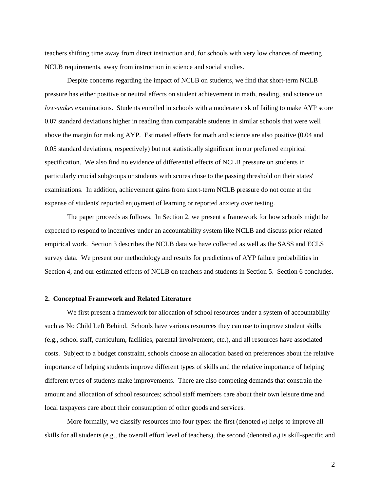teachers shifting time away from direct instruction and, for schools with very low chances of meeting NCLB requirements, away from instruction in science and social studies.

Despite concerns regarding the impact of NCLB on students, we find that short-term NCLB pressure has either positive or neutral effects on student achievement in math, reading, and science on *low-stakes* examinations. Students enrolled in schools with a moderate risk of failing to make AYP score 0.07 standard deviations higher in reading than comparable students in similar schools that were well above the margin for making AYP. Estimated effects for math and science are also positive (0.04 and 0.05 standard deviations, respectively) but not statistically significant in our preferred empirical specification. We also find no evidence of differential effects of NCLB pressure on students in particularly crucial subgroups or students with scores close to the passing threshold on their states' examinations. In addition, achievement gains from short-term NCLB pressure do not come at the expense of students' reported enjoyment of learning or reported anxiety over testing.

The paper proceeds as follows. In Section 2, we present a framework for how schools might be expected to respond to incentives under an accountability system like NCLB and discuss prior related empirical work. Section 3 describes the NCLB data we have collected as well as the SASS and ECLS survey data. We present our methodology and results for predictions of AYP failure probabilities in Section 4, and our estimated effects of NCLB on teachers and students in Section 5. Section 6 concludes.

#### **2. Conceptual Framework and Related Literature**

We first present a framework for allocation of school resources under a system of accountability such as No Child Left Behind. Schools have various resources they can use to improve student skills (e.g., school staff, curriculum, facilities, parental involvement, etc.), and all resources have associated costs. Subject to a budget constraint, schools choose an allocation based on preferences about the relative importance of helping students improve different types of skills and the relative importance of helping different types of students make improvements. There are also competing demands that constrain the amount and allocation of school resources; school staff members care about their own leisure time and local taxpayers care about their consumption of other goods and services.

More formally, we classify resources into four types: the first (denoted  $u$ ) helps to improve all skills for all students (e.g., the overall effort level of teachers), the second (denoted  $a<sub>s</sub>$ ) is skill-specific and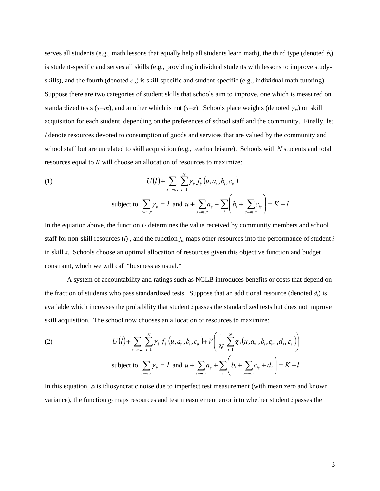serves all students (e.g., math lessons that equally help all students learn math), the third type (denoted *bi*) is student-specific and serves all skills (e.g., providing individual students with lessons to improve studyskills), and the fourth (denoted *cis*) is skill-specific and student-specific (e.g., individual math tutoring). Suppose there are two categories of student skills that schools aim to improve, one which is measured on standardized tests ( $s=m$ ), and another which is not ( $s=z$ ). Schools place weights (denoted  $\gamma_{is}$ ) on skill acquisition for each student, depending on the preferences of school staff and the community. Finally, let *l* denote resources devoted to consumption of goods and services that are valued by the community and school staff but are unrelated to skill acquisition (e.g., teacher leisure). Schools with *N* students and total resources equal to *K* will choose an allocation of resources to maximize:

(1) 
$$
U(l) + \sum_{s=m,z} \sum_{i=1}^{N} \gamma_{s} f_{s} (u, a_{s}, b_{i}, c_{s})
$$
  
subject to 
$$
\sum_{s=m,z} \gamma_{s} = l \text{ and } u + \sum_{s=m,z} a_{s} + \sum_{i} \left( b_{i} + \sum_{s=m,z} c_{is} \right) = K - l
$$

In the equation above, the function *U* determines the value received by community members and school staff for non-skill resources (*l*) , and the function *fis* maps other resources into the performance of student *i* in skill *s*. Schools choose an optimal allocation of resources given this objective function and budget constraint, which we will call "business as usual."

 A system of accountability and ratings such as NCLB introduces benefits or costs that depend on the fraction of students who pass standardized tests. Suppose that an additional resource (denoted  $d_i$ ) is available which increases the probability that student *i* passes the standardized tests but does not improve skill acquisition. The school now chooses an allocation of resources to maximize:

(2) 
$$
U(l) + \sum_{s=m,z} \sum_{i=1}^{N} \gamma_{s} f_{s} (u, a_{s}, b_{i}, c_{s}) + V\left(\frac{1}{N} \sum_{i=1}^{N} g_{i} (u, a_{m}, b_{i}, c_{im}, d_{i}, \varepsilon_{i})\right)
$$
  
subject to 
$$
\sum_{s=m,z} \gamma_{s} = l \text{ and } u + \sum_{s=m,z} a_{s} + \sum_{i} \left(b_{i} + \sum_{s=m,z} c_{is} + d_{i}\right) = K - l
$$

In this equation,  $\varepsilon_i$  is idiosyncratic noise due to imperfect test measurement (with mean zero and known variance), the function *gi* maps resources and test measurement error into whether student *i* passes the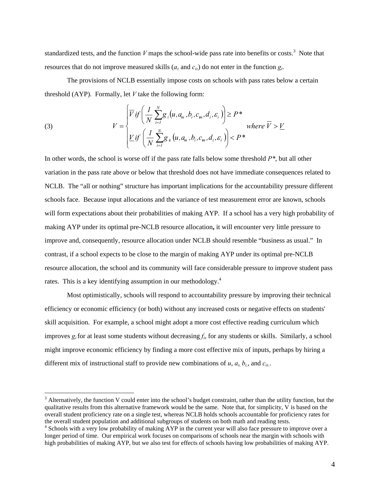standardized tests, and the function  $V$  maps the school-wide pass rate into benefits or costs.<sup>3</sup> Note that resources that do not improve measured skills ( $a_z$  and  $c_{iz}$ ) do not enter in the function  $g_i$ .

 The provisions of NCLB essentially impose costs on schools with pass rates below a certain threshold (AYP). Formally, let *V* take the following form:

(3) 
$$
V = \begin{cases} \overline{V} \text{ if } \left( \frac{I}{N} \sum_{i=1}^{N} g_i(u, a_m, b_i, c_m, d_i, \varepsilon_i) \right) \ge P^* \\ \frac{V}{N} \text{ if } \left( \frac{I}{N} \sum_{i=1}^{N} g_i(u, a_m, b_i, c_m, d_i, \varepsilon_i) \right) < P^* \end{cases} \text{ where } \overline{V} > \underline{V}
$$

In other words, the school is worse off if the pass rate falls below some threshold *P\**, but all other variation in the pass rate above or below that threshold does not have immediate consequences related to NCLB. The "all or nothing" structure has important implications for the accountability pressure different schools face. Because input allocations and the variance of test measurement error are known, schools will form expectations about their probabilities of making AYP. If a school has a very high probability of making AYP under its optimal pre-NCLB resource allocation**,** it will encounter very little pressure to improve and, consequently, resource allocation under NCLB should resemble "business as usual." In contrast, if a school expects to be close to the margin of making AYP under its optimal pre-NCLB resource allocation, the school and its community will face considerable pressure to improve student pass rates. This is a key identifying assumption in our methodology.<sup>4</sup>

Most optimistically, schools will respond to accountability pressure by improving their technical efficiency or economic efficiency (or both) without any increased costs or negative effects on students' skill acquisition. For example, a school might adopt a more cost effective reading curriculum which improves  $g_i$  for at least some students without decreasing  $f_i$  for any students or skills. Similarly, a school might improve economic efficiency by finding a more cost effective mix of inputs, perhaps by hiring a different mix of instructional staff to provide new combinations of  $u$ ,  $a_s$ ,  $b_i$ , and  $c_{is}$ .

 $3$  Alternatively, the function V could enter into the school's budget constraint, rather than the utility function, but the qualitative results from this alternative framework would be the same. Note that, for simplicity, V is based on the overall student proficiency rate on a single test, whereas NCLB holds schools accountable for proficiency rates for the overall student population and additional subgroups of students on both math and reading tests. 4

<sup>&</sup>lt;sup>4</sup> Schools with a very low probability of making AYP in the current year will also face pressure to improve over a longer period of time. Our empirical work focuses on comparisons of schools near the margin with schools with high probabilities of making AYP, but we also test for effects of schools having low probabilities of making AYP.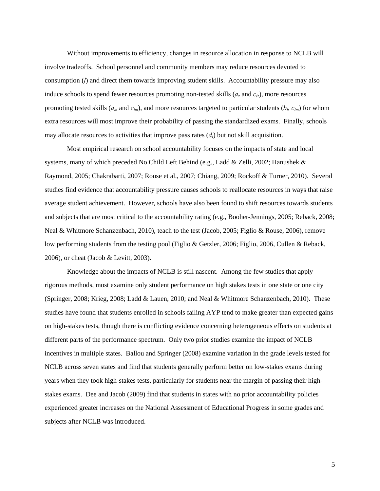Without improvements to efficiency, changes in resource allocation in response to NCLB will involve tradeoffs. School personnel and community members may reduce resources devoted to consumption (*l*) and direct them towards improving student skills. Accountability pressure may also induce schools to spend fewer resources promoting non-tested skills  $(a_z \text{ and } c_{iz})$ , more resources promoting tested skills ( $a_m$  and  $c_{im}$ ), and more resources targeted to particular students ( $b_i$ ,  $c_{im}$ ) for whom extra resources will most improve their probability of passing the standardized exams. Finally, schools may allocate resources to activities that improve pass rates  $(d<sub>i</sub>)$  but not skill acquisition.

Most empirical research on school accountability focuses on the impacts of state and local systems, many of which preceded No Child Left Behind (e.g., Ladd & Zelli, 2002; Hanushek & Raymond, 2005; Chakrabarti, 2007; Rouse et al., 2007; Chiang, 2009; Rockoff & Turner, 2010). Several studies find evidence that accountability pressure causes schools to reallocate resources in ways that raise average student achievement. However, schools have also been found to shift resources towards students and subjects that are most critical to the accountability rating (e.g., Booher-Jennings, 2005; Reback, 2008; Neal & Whitmore Schanzenbach, 2010), teach to the test (Jacob, 2005; Figlio & Rouse, 2006), remove low performing students from the testing pool (Figlio & Getzler, 2006; Figlio, 2006, Cullen & Reback, 2006), or cheat (Jacob & Levitt, 2003).

Knowledge about the impacts of NCLB is still nascent. Among the few studies that apply rigorous methods, most examine only student performance on high stakes tests in one state or one city (Springer, 2008; Krieg, 2008; Ladd & Lauen, 2010; and Neal & Whitmore Schanzenbach, 2010). These studies have found that students enrolled in schools failing AYP tend to make greater than expected gains on high-stakes tests, though there is conflicting evidence concerning heterogeneous effects on students at different parts of the performance spectrum. Only two prior studies examine the impact of NCLB incentives in multiple states. Ballou and Springer (2008) examine variation in the grade levels tested for NCLB across seven states and find that students generally perform better on low-stakes exams during years when they took high-stakes tests, particularly for students near the margin of passing their highstakes exams. Dee and Jacob (2009) find that students in states with no prior accountability policies experienced greater increases on the National Assessment of Educational Progress in some grades and subjects after NCLB was introduced.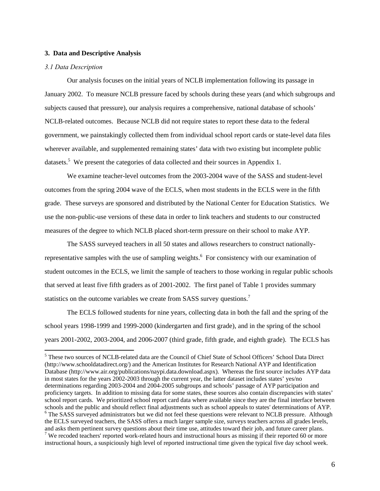### **3. Data and Descriptive Analysis**

### *3.1 Data Description*

Our analysis focuses on the initial years of NCLB implementation following its passage in January 2002. To measure NCLB pressure faced by schools during these years (and which subgroups and subjects caused that pressure), our analysis requires a comprehensive, national database of schools' NCLB-related outcomes. Because NCLB did not require states to report these data to the federal government, we painstakingly collected them from individual school report cards or state-level data files wherever available, and supplemented remaining states' data with two existing but incomplete public datasets.<sup>5</sup> We present the categories of data collected and their sources in Appendix 1.

We examine teacher-level outcomes from the 2003-2004 wave of the SASS and student-level outcomes from the spring 2004 wave of the ECLS, when most students in the ECLS were in the fifth grade. These surveys are sponsored and distributed by the National Center for Education Statistics. We use the non-public-use versions of these data in order to link teachers and students to our constructed measures of the degree to which NCLB placed short-term pressure on their school to make AYP.

The SASS surveyed teachers in all 50 states and allows researchers to construct nationallyrepresentative samples with the use of sampling weights.<sup>6</sup> For consistency with our examination of student outcomes in the ECLS, we limit the sample of teachers to those working in regular public schools that served at least five fifth graders as of 2001-2002. The first panel of Table 1 provides summary statistics on the outcome variables we create from SASS survey questions.<sup>7</sup>

The ECLS followed students for nine years, collecting data in both the fall and the spring of the school years 1998-1999 and 1999-2000 (kindergarten and first grade), and in the spring of the school years 2001-2002, 2003-2004, and 2006-2007 (third grade, fifth grade, and eighth grade). The ECLS has

 5 These two sources of NCLB-related data are the Council of Chief State of School Officers' School Data Direct (http://www.schooldatadirect.org/) and the American Institutes for Research National AYP and Identification Database (http://www.air.org/publications/naypi.data.download.aspx). Whereas the first source includes AYP data in most states for the years 2002-2003 through the current year, the latter dataset includes states' yes/no determinations regarding 2003-2004 and 2004-2005 subgroups and schools' passage of AYP participation and proficiency targets. In addition to missing data for some states, these sources also contain discrepancies with states' school report cards. We prioritized school report card data where available since they are the final interface between schools and the public and should reflect final adjustments such as school appeals to states' determinations of AYP. <sup>6</sup> The SASS surveyed administrators but we did not feel these questions were relevant to NCLB pressure. Although the ECLS surveyed teachers, the SASS offers a much larger sample size, surveys teachers across all grades levels, and asks them pertinent survey questions about their time use, attitudes toward their job, and future career plans. 7 <sup>7</sup> We recoded teachers' reported work-related hours and instructional hours as missing if their reported 60 or more instructional hours, a suspiciously high level of reported instructional time given the typical five day school week.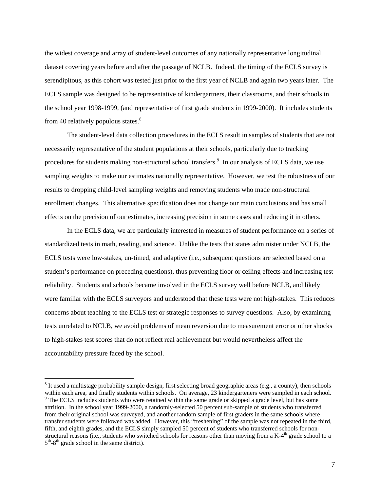the widest coverage and array of student-level outcomes of any nationally representative longitudinal dataset covering years before and after the passage of NCLB. Indeed, the timing of the ECLS survey is serendipitous, as this cohort was tested just prior to the first year of NCLB and again two years later. The ECLS sample was designed to be representative of kindergartners, their classrooms, and their schools in the school year 1998-1999, (and representative of first grade students in 1999-2000). It includes students from 40 relatively populous states. $8<sup>8</sup>$ 

The student-level data collection procedures in the ECLS result in samples of students that are not necessarily representative of the student populations at their schools, particularly due to tracking procedures for students making non-structural school transfers.<sup>9</sup> In our analysis of ECLS data, we use sampling weights to make our estimates nationally representative. However, we test the robustness of our results to dropping child-level sampling weights and removing students who made non-structural enrollment changes. This alternative specification does not change our main conclusions and has small effects on the precision of our estimates, increasing precision in some cases and reducing it in others.

In the ECLS data, we are particularly interested in measures of student performance on a series of standardized tests in math, reading, and science. Unlike the tests that states administer under NCLB, the ECLS tests were low-stakes, un-timed, and adaptive (i.e., subsequent questions are selected based on a student's performance on preceding questions), thus preventing floor or ceiling effects and increasing test reliability. Students and schools became involved in the ECLS survey well before NCLB, and likely were familiar with the ECLS surveyors and understood that these tests were not high-stakes. This reduces concerns about teaching to the ECLS test or strategic responses to survey questions. Also, by examining tests unrelated to NCLB, we avoid problems of mean reversion due to measurement error or other shocks to high-stakes test scores that do not reflect real achievement but would nevertheless affect the accountability pressure faced by the school.

 $8$  It used a multistage probability sample design, first selecting broad geographic areas (e.g., a county), then schools within each area, and finally students within schools. On average, 23 kindergarteners were sampled in each school. <sup>9</sup> The ECLS includes students who were retained within the same grade or skipped a grade level, but has some attrition. In the school year 1999-2000, a randomly-selected 50 percent sub-sample of students who transferred from their original school was surveyed, and another random sample of first graders in the same schools where transfer students were followed was added. However, this "freshening" of the sample was not repeated in the third, fifth, and eighth grades, and the ECLS simply sampled 50 percent of students who transferred schools for nonstructural reasons (i.e., students who switched schools for reasons other than moving from a  $K-4<sup>th</sup>$  grade school to a  $5<sup>th</sup> - 8<sup>th</sup>$  grade school in the same district).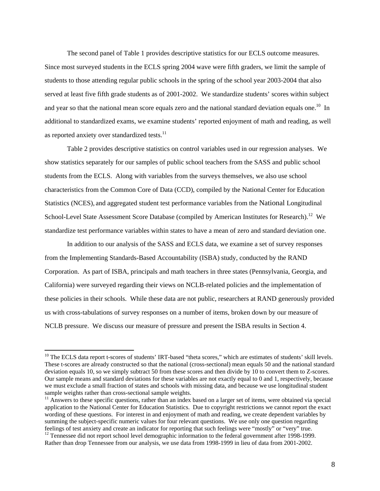The second panel of Table 1 provides descriptive statistics for our ECLS outcome measures. Since most surveyed students in the ECLS spring 2004 wave were fifth graders, we limit the sample of students to those attending regular public schools in the spring of the school year 2003-2004 that also served at least five fifth grade students as of 2001-2002. We standardize students' scores within subject and year so that the national mean score equals zero and the national standard deviation equals one.<sup>10</sup> In additional to standardized exams, we examine students' reported enjoyment of math and reading, as well as reported anxiety over standardized tests. $^{11}$ 

 Table 2 provides descriptive statistics on control variables used in our regression analyses. We show statistics separately for our samples of public school teachers from the SASS and public school students from the ECLS. Along with variables from the surveys themselves, we also use school characteristics from the Common Core of Data (CCD), compiled by the National Center for Education Statistics (NCES), and aggregated student test performance variables from the National Longitudinal School-Level State Assessment Score Database (compiled by American Institutes for Research).<sup>12</sup> We standardize test performance variables within states to have a mean of zero and standard deviation one.

In addition to our analysis of the SASS and ECLS data, we examine a set of survey responses from the Implementing Standards-Based Accountability (ISBA) study, conducted by the RAND Corporation. As part of ISBA, principals and math teachers in three states (Pennsylvania, Georgia, and California) were surveyed regarding their views on NCLB-related policies and the implementation of these policies in their schools. While these data are not public, researchers at RAND generously provided us with cross-tabulations of survey responses on a number of items, broken down by our measure of NCLB pressure. We discuss our measure of pressure and present the ISBA results in Section 4.

<sup>&</sup>lt;sup>10</sup> The ECLS data report t-scores of students' IRT-based "theta scores," which are estimates of students' skill levels. These t-scores are already constructed so that the national (cross-sectional) mean equals 50 and the national standard deviation equals 10, so we simply subtract 50 from these scores and then divide by 10 to convert them to Z-scores. Our sample means and standard deviations for these variables are not exactly equal to 0 and 1, respectively, because we must exclude a small fraction of states and schools with missing data, and because we use longitudinal student sample weights rather than cross-sectional sample weights.

 $11$  Answers to these specific questions, rather than an index based on a larger set of items, were obtained via special application to the National Center for Education Statistics. Due to copyright restrictions we cannot report the exact wording of these questions. For interest in and enjoyment of math and reading, we create dependent variables by summing the subject-specific numeric values for four relevant questions. We use only one question regarding feelings of test anxiety and create an indicator for reporting that such feelings were "mostly" or "very" true. 12 Tennessee did not report school level demographic information to the federal government after 1998-1999. Rather than drop Tennessee from our analysis, we use data from 1998-1999 in lieu of data from 2001-2002.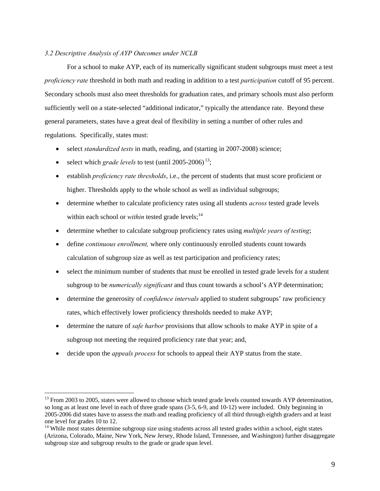### *3.2 Descriptive Analysis of AYP Outcomes under NCLB*

For a school to make AYP, each of its numerically significant student subgroups must meet a test *proficiency rate* threshold in both math and reading in addition to a test *participation* cutoff of 95 percent. Secondary schools must also meet thresholds for graduation rates, and primary schools must also perform sufficiently well on a state-selected "additional indicator," typically the attendance rate. Beyond these general parameters, states have a great deal of flexibility in setting a number of other rules and regulations. Specifically, states must:

- select *standardized tests* in math, reading, and (starting in 2007-2008) science;
- $\bullet$  select which *grade levels* to test (until 2005-2006)<sup>13</sup>;

- establish *proficiency rate thresholds*, i.e., the percent of students that must score proficient or higher. Thresholds apply to the whole school as well as individual subgroups;
- determine whether to calculate proficiency rates using all students *across* tested grade levels within each school or *within* tested grade levels;<sup>14</sup>
- determine whether to calculate subgroup proficiency rates using *multiple years of testing*;
- define *continuous enrollment,* where only continuously enrolled students count towards calculation of subgroup size as well as test participation and proficiency rates;
- select the minimum number of students that must be enrolled in tested grade levels for a student subgroup to be *numerically significant* and thus count towards a school's AYP determination;
- determine the generosity of *confidence intervals* applied to student subgroups' raw proficiency rates, which effectively lower proficiency thresholds needed to make AYP;
- determine the nature of *safe harbor* provisions that allow schools to make AYP in spite of a subgroup not meeting the required proficiency rate that year; and,
- decide upon the *appeals process* for schools to appeal their AYP status from the state.

<sup>&</sup>lt;sup>13</sup> From 2003 to 2005, states were allowed to choose which tested grade levels counted towards AYP determination, so long as at least one level in each of three grade spans (3-5, 6-9, and 10-12) were included. Only beginning in 2005-2006 did states have to assess the math and reading proficiency of all third through eighth graders and at least one level for grades 10 to 12.

<sup>&</sup>lt;sup>14</sup> While most states determine subgroup size using students across all tested grades within a school, eight states (Arizona, Colorado, Maine, New York, New Jersey, Rhode Island, Tennessee, and Washington) further disaggregate subgroup size and subgroup results to the grade or grade span level.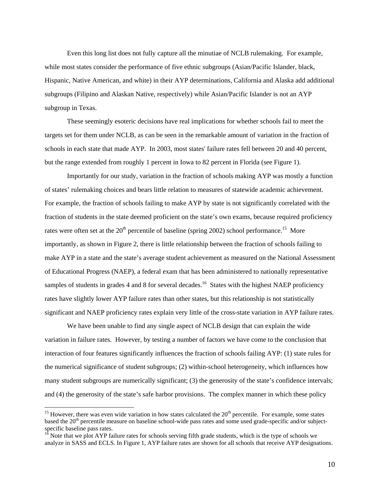Even this long list does not fully capture all the minutiae of NCLB rulemaking. For example, while most states consider the performance of five ethnic subgroups (Asian/Pacific Islander, black, Hispanic, Native American, and white) in their AYP determinations, California and Alaska add additional subgroups (Filipino and Alaskan Native, respectively) while Asian/Pacific Islander is not an AYP subgroup in Texas.

These seemingly esoteric decisions have real implications for whether schools fail to meet the targets set for them under NCLB, as can be seen in the remarkable amount of variation in the fraction of schools in each state that made AYP. In 2003, most states' failure rates fell between 20 and 40 percent, but the range extended from roughly 1 percent in Iowa to 82 percent in Florida (see Figure 1).

Importantly for our study, variation in the fraction of schools making AYP was mostly a function of states' rulemaking choices and bears little relation to measures of statewide academic achievement. For example, the fraction of schools failing to make AYP by state is not significantly correlated with the fraction of students in the state deemed proficient on the state's own exams, because required proficiency rates were often set at the  $20<sup>th</sup>$  percentile of baseline (spring 2002) school performance.<sup>15</sup> More importantly, as shown in Figure 2, there is little relationship between the fraction of schools failing to make AYP in a state and the state's average student achievement as measured on the National Assessment of Educational Progress (NAEP), a federal exam that has been administered to nationally representative samples of students in grades 4 and 8 for several decades.<sup>16</sup> States with the highest NAEP proficiency rates have slightly lower AYP failure rates than other states, but this relationship is not statistically significant and NAEP proficiency rates explain very little of the cross-state variation in AYP failure rates.

We have been unable to find any single aspect of NCLB design that can explain the wide variation in failure rates. However, by testing a number of factors we have come to the conclusion that interaction of four features significantly influences the fraction of schools failing AYP: (1) state rules for the numerical significance of student subgroups; (2) within-school heterogeneity, which influences how many student subgroups are numerically significant; (3) the generosity of the state's confidence intervals; and (4) the generosity of the state's safe harbor provisions. The complex manner in which these policy

<sup>&</sup>lt;sup>15</sup> However, there was even wide variation in how states calculated the  $20<sup>th</sup>$  percentile. For example, some states based the 20<sup>th</sup> percentile measure on baseline school-wide pass rates and some used grade-specific and/or subjectspecific baseline pass rates.

<sup>&</sup>lt;sup>16</sup> Note that we plot AYP failure rates for schools serving fifth grade students, which is the type of schools we analyze in SASS and ECLS. In Figure 1, AYP failure rates are shown for all schools that receive AYP designations.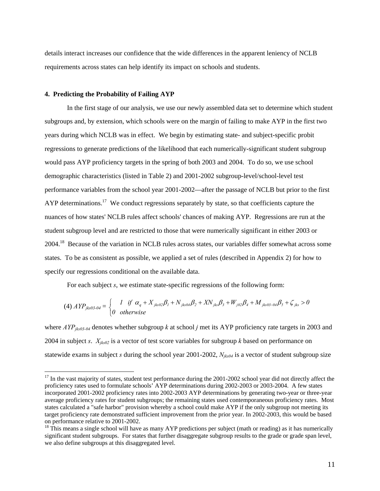details interact increases our confidence that the wide differences in the apparent leniency of NCLB requirements across states can help identify its impact on schools and students.

### **4. Predicting the Probability of Failing AYP**

 $\overline{a}$ 

In the first stage of our analysis, we use our newly assembled data set to determine which student subgroups and, by extension, which schools were on the margin of failing to make AYP in the first two years during which NCLB was in effect. We begin by estimating state- and subject-specific probit regressions to generate predictions of the likelihood that each numerically-significant student subgroup would pass AYP proficiency targets in the spring of both 2003 and 2004. To do so, we use school demographic characteristics (listed in Table 2) and 2001-2002 subgroup-level/school-level test performance variables from the school year 2001-2002—after the passage of NCLB but prior to the first AYP determinations.<sup>17</sup> We conduct regressions separately by state, so that coefficients capture the nuances of how states' NCLB rules affect schools' chances of making AYP. Regressions are run at the student subgroup level and are restricted to those that were numerically significant in either 2003 or 2004.18 Because of the variation in NCLB rules across states, our variables differ somewhat across some states. To be as consistent as possible, we applied a set of rules (described in Appendix 2) for how to specify our regressions conditional on the available data.

For each subject *s*, we estimate state-specific regressions of the following form:

$$
(4) \; APP_{jks03-04} = \begin{cases} 1 & \text{if} \; \alpha_q + X_{jks02}\beta_1 + N_{jks04}\beta_2 + XN_{jks}\beta_3 + W_{j02}\beta_4 + M_{jks03-04}\beta_5 + \zeta_{jks} > 0\\ 0 & \text{otherwise} \end{cases}
$$

where *AYP<sub>iks03-04</sub>* denotes whether subgroup *k* at school *j* met its AYP proficiency rate targets in 2003 and 2004 in subject *s*.  $X_{iks02}$  is a vector of test score variables for subgroup *k* based on performance on statewide exams in subject *s* during the school year 2001-2002, *Njks04* is a vector of student subgroup size

 $17$  In the vast majority of states, student test performance during the 2001-2002 school year did not directly affect the proficiency rates used to formulate schools' AYP determinations during 2002-2003 or 2003-2004. A few states incorporated 2001-2002 proficiency rates into 2002-2003 AYP determinations by generating two-year or three-year average proficiency rates for student subgroups; the remaining states used contemporaneous proficiency rates. Most states calculated a "safe harbor" provision whereby a school could make AYP if the only subgroup not meeting its target proficiency rate demonstrated sufficient improvement from the prior year. In 2002-2003, this would be based on performance relative to 2001-2002.

 $18$  This means a single school will have as many AYP predictions per subject (math or reading) as it has numerically significant student subgroups. For states that further disaggregate subgroup results to the grade or grade span level, we also define subgroups at this disaggregated level.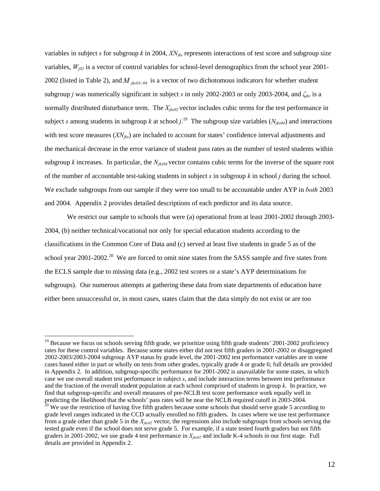variables in subject *s* for subgroup *k* in 2004, *XNjks* represents interactions of test score and subgroup size variables,  $W_{j02}$  is a vector of control variables for school-level demographics from the school year 2001-2002 (listed in Table 2), and  $M$ <sub>*jks03-04*</sub> is a vector of two dichotomous indicators for whether student subgroup *j* was numerically significant in subject *s* in only 2002-2003 or only 2003-2004, and *ζjks* is a normally distributed disturbance term. The  $X_{iks02}$  vector includes cubic terms for the test performance in subject *s* among students in subgroup *k* at school  $j$ <sup>19</sup> The subgroup size variables ( $N_{jks04}$ ) and interactions with test score measures (*XN<sub>iks</sub>*) are included to account for states' confidence interval adjustments and the mechanical decrease in the error variance of student pass rates as the number of tested students within subgroup *k* increases. In particular, the *Njks04* vector contains cubic terms for the inverse of the square root of the number of accountable test-taking students in subject *s* in subgroup *k* in school *j* during the school. We exclude subgroups from our sample if they were too small to be accountable under AYP in *both* 2003 and 2004. Appendix 2 provides detailed descriptions of each predictor and its data source.

We restrict our sample to schools that were (a) operational from at least 2001-2002 through 2003-2004, (b) neither technical/vocational nor only for special education students according to the classifications in the Common Core of Data and (c) served at least five students in grade 5 as of the school year 2001-2002.<sup>20</sup> We are forced to omit nine states from the SASS sample and five states from the ECLS sample due to missing data (e.g., 2002 test scores or a state's AYP determinations for subgroups). Our numerous attempts at gathering these data from state departments of education have either been unsuccessful or, in most cases, states claim that the data simply do not exist or are too

 $19$  Because we focus on schools serving fifth grade, we prioritize using fifth grade students' 2001-2002 proficiency rates for these control variables. Because some states either did not test fifth graders in 2001-2002 or disaggregated 2002-2003/2003-2004 subgroup AYP status by grade level, the 2001-2002 test performance variables are in some cases based either in part or wholly on tests from other grades, typically grade 4 or grade 6; full details are provided in Appendix 2. In addition, subgroup-specific performance for 2001-2002 is unavailable for some states, in which case we use overall student test performance in subject *s*, and include interaction terms between test performance and the fraction of the overall student population at each school comprised of students in group *k*. In practice, we find that subgroup-specific and overall measures of pre-NCLB test score performance work equally well in predicting the likelihood that the schools' pass rates will be near the NCLB required cutoff in 2003-2004.<br><sup>20</sup> We use the restriction of having five fifth graders because some schools that should serve grade 5 according t

grade level ranges indicated in the CCD actually enrolled no fifth graders. In cases where we use test performance from a grade other than grade 5 in the *Xjks02* vector, the regressions also include subgroups from schools serving the tested grade even if the school does not serve grade 5. For example, if a state tested fourth graders but not fifth graders in 2001-2002, we use grade 4 test performance in *Xjks02* and include K-4 schools in our first stage. Full details are provided in Appendix 2.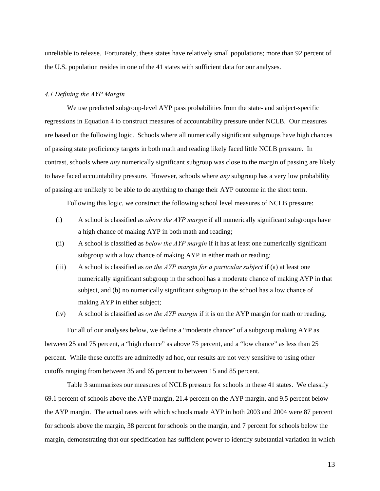unreliable to release. Fortunately, these states have relatively small populations; more than 92 percent of the U.S. population resides in one of the 41 states with sufficient data for our analyses.

### *4.1 Defining the AYP Margin*

We use predicted subgroup-level AYP pass probabilities from the state- and subject-specific regressions in Equation 4 to construct measures of accountability pressure under NCLB. Our measures are based on the following logic. Schools where all numerically significant subgroups have high chances of passing state proficiency targets in both math and reading likely faced little NCLB pressure. In contrast, schools where *any* numerically significant subgroup was close to the margin of passing are likely to have faced accountability pressure. However, schools where *any* subgroup has a very low probability of passing are unlikely to be able to do anything to change their AYP outcome in the short term.

Following this logic, we construct the following school level measures of NCLB pressure:

- (i) A school is classified as *above the AYP margin* if all numerically significant subgroups have a high chance of making AYP in both math and reading;
- (ii) A school is classified as *below the AYP margin* if it has at least one numerically significant subgroup with a low chance of making AYP in either math or reading;
- (iii) A school is classified as *on the AYP margin for a particular subject* if (a) at least one numerically significant subgroup in the school has a moderate chance of making AYP in that subject, and (b) no numerically significant subgroup in the school has a low chance of making AYP in either subject;
- (iv) A school is classified as *on the AYP margin* if it is on the AYP margin for math or reading.

 For all of our analyses below, we define a "moderate chance" of a subgroup making AYP as between 25 and 75 percent, a "high chance" as above 75 percent, and a "low chance" as less than 25 percent. While these cutoffs are admittedly ad hoc, our results are not very sensitive to using other cutoffs ranging from between 35 and 65 percent to between 15 and 85 percent.

Table 3 summarizes our measures of NCLB pressure for schools in these 41 states. We classify 69.1 percent of schools above the AYP margin, 21.4 percent on the AYP margin, and 9.5 percent below the AYP margin. The actual rates with which schools made AYP in both 2003 and 2004 were 87 percent for schools above the margin, 38 percent for schools on the margin, and 7 percent for schools below the margin, demonstrating that our specification has sufficient power to identify substantial variation in which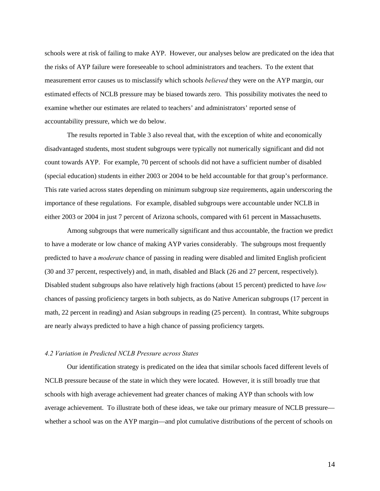schools were at risk of failing to make AYP. However, our analyses below are predicated on the idea that the risks of AYP failure were foreseeable to school administrators and teachers. To the extent that measurement error causes us to misclassify which schools *believed* they were on the AYP margin, our estimated effects of NCLB pressure may be biased towards zero. This possibility motivates the need to examine whether our estimates are related to teachers' and administrators' reported sense of accountability pressure, which we do below.

 The results reported in Table 3 also reveal that, with the exception of white and economically disadvantaged students, most student subgroups were typically not numerically significant and did not count towards AYP. For example, 70 percent of schools did not have a sufficient number of disabled (special education) students in either 2003 or 2004 to be held accountable for that group's performance. This rate varied across states depending on minimum subgroup size requirements, again underscoring the importance of these regulations. For example, disabled subgroups were accountable under NCLB in either 2003 or 2004 in just 7 percent of Arizona schools, compared with 61 percent in Massachusetts.

 Among subgroups that were numerically significant and thus accountable, the fraction we predict to have a moderate or low chance of making AYP varies considerably. The subgroups most frequently predicted to have a *moderate* chance of passing in reading were disabled and limited English proficient (30 and 37 percent, respectively) and, in math, disabled and Black (26 and 27 percent, respectively). Disabled student subgroups also have relatively high fractions (about 15 percent) predicted to have *low* chances of passing proficiency targets in both subjects, as do Native American subgroups (17 percent in math, 22 percent in reading) and Asian subgroups in reading (25 percent). In contrast, White subgroups are nearly always predicted to have a high chance of passing proficiency targets.

### *4.2 Variation in Predicted NCLB Pressure across States*

Our identification strategy is predicated on the idea that similar schools faced different levels of NCLB pressure because of the state in which they were located. However, it is still broadly true that schools with high average achievement had greater chances of making AYP than schools with low average achievement. To illustrate both of these ideas, we take our primary measure of NCLB pressure whether a school was on the AYP margin—and plot cumulative distributions of the percent of schools on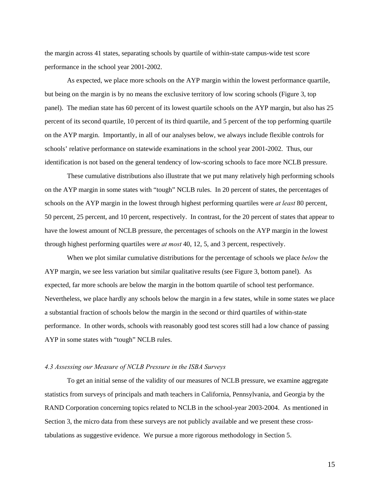the margin across 41 states, separating schools by quartile of within-state campus-wide test score performance in the school year 2001-2002.

As expected, we place more schools on the AYP margin within the lowest performance quartile, but being on the margin is by no means the exclusive territory of low scoring schools (Figure 3, top panel). The median state has 60 percent of its lowest quartile schools on the AYP margin, but also has 25 percent of its second quartile, 10 percent of its third quartile, and 5 percent of the top performing quartile on the AYP margin. Importantly, in all of our analyses below, we always include flexible controls for schools' relative performance on statewide examinations in the school year 2001-2002. Thus, our identification is not based on the general tendency of low-scoring schools to face more NCLB pressure.

These cumulative distributions also illustrate that we put many relatively high performing schools on the AYP margin in some states with "tough" NCLB rules. In 20 percent of states, the percentages of schools on the AYP margin in the lowest through highest performing quartiles were *at least* 80 percent, 50 percent, 25 percent, and 10 percent, respectively. In contrast, for the 20 percent of states that appear to have the lowest amount of NCLB pressure, the percentages of schools on the AYP margin in the lowest through highest performing quartiles were *at most* 40, 12, 5, and 3 percent, respectively.

When we plot similar cumulative distributions for the percentage of schools we place *below* the AYP margin, we see less variation but similar qualitative results (see Figure 3, bottom panel). As expected, far more schools are below the margin in the bottom quartile of school test performance. Nevertheless, we place hardly any schools below the margin in a few states, while in some states we place a substantial fraction of schools below the margin in the second or third quartiles of within-state performance. In other words, schools with reasonably good test scores still had a low chance of passing AYP in some states with "tough" NCLB rules.

#### *4.3 Assessing our Measure of NCLB Pressure in the ISBA Surveys*

To get an initial sense of the validity of our measures of NCLB pressure, we examine aggregate statistics from surveys of principals and math teachers in California, Pennsylvania, and Georgia by the RAND Corporation concerning topics related to NCLB in the school-year 2003-2004. As mentioned in Section 3, the micro data from these surveys are not publicly available and we present these crosstabulations as suggestive evidence. We pursue a more rigorous methodology in Section 5.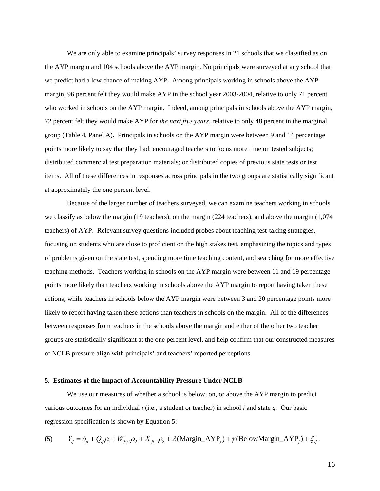We are only able to examine principals' survey responses in 21 schools that we classified as on the AYP margin and 104 schools above the AYP margin. No principals were surveyed at any school that we predict had a low chance of making AYP. Among principals working in schools above the AYP margin, 96 percent felt they would make AYP in the school year 2003-2004, relative to only 71 percent who worked in schools on the AYP margin. Indeed, among principals in schools above the AYP margin, 72 percent felt they would make AYP for *the next five years*, relative to only 48 percent in the marginal group (Table 4, Panel A). Principals in schools on the AYP margin were between 9 and 14 percentage points more likely to say that they had: encouraged teachers to focus more time on tested subjects; distributed commercial test preparation materials; or distributed copies of previous state tests or test items. All of these differences in responses across principals in the two groups are statistically significant at approximately the one percent level.

Because of the larger number of teachers surveyed, we can examine teachers working in schools we classify as below the margin (19 teachers), on the margin (224 teachers), and above the margin (1,074 teachers) of AYP. Relevant survey questions included probes about teaching test-taking strategies, focusing on students who are close to proficient on the high stakes test, emphasizing the topics and types of problems given on the state test, spending more time teaching content, and searching for more effective teaching methods. Teachers working in schools on the AYP margin were between 11 and 19 percentage points more likely than teachers working in schools above the AYP margin to report having taken these actions, while teachers in schools below the AYP margin were between 3 and 20 percentage points more likely to report having taken these actions than teachers in schools on the margin. All of the differences between responses from teachers in the schools above the margin and either of the other two teacher groups are statistically significant at the one percent level, and help confirm that our constructed measures of NCLB pressure align with principals' and teachers' reported perceptions.

#### **5. Estimates of the Impact of Accountability Pressure Under NCLB**

We use our measures of whether a school is below, on, or above the AYP margin to predict various outcomes for an individual *i* (i.e., a student or teacher) in school *j* and state *q.* Our basic regression specification is shown by Equation 5:

(5) 
$$
Y_{ij} = \delta_q + Q_{ij}\rho_1 + W_{j02}\rho_2 + X_{j02}\rho_3 + \lambda(\text{Margin\_AYP}_j) + \gamma(\text{BelowMargin\_AYP}_j) + \zeta_{ij}.
$$

16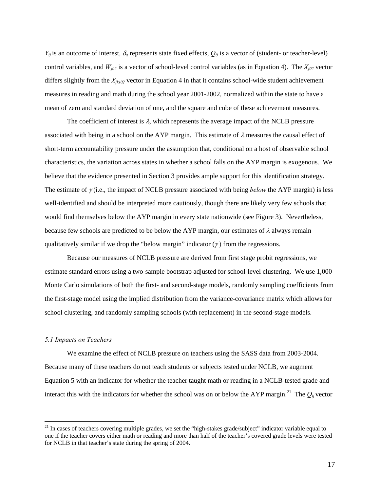$Y_{ij}$  is an outcome of interest,  $\delta_q$  represents state fixed effects,  $Q_{ij}$  is a vector of (student- or teacher-level) control variables, and  $W_{j02}$  is a vector of school-level control variables (as in Equation 4). The  $X_{j02}$  vector differs slightly from the *Xjks02* vector in Equation 4 in that it contains school-wide student achievement measures in reading and math during the school year 2001-2002, normalized within the state to have a mean of zero and standard deviation of one, and the square and cube of these achievement measures.

The coefficient of interest is  $\lambda$ , which represents the average impact of the NCLB pressure associated with being in a school on the AYP margin. This estimate of  $\lambda$  measures the causal effect of short-term accountability pressure under the assumption that, conditional on a host of observable school characteristics, the variation across states in whether a school falls on the AYP margin is exogenous. We believe that the evidence presented in Section 3 provides ample support for this identification strategy. The estimate of  $\gamma$  (i.e., the impact of NCLB pressure associated with being *below* the AYP margin) is less well-identified and should be interpreted more cautiously, though there are likely very few schools that would find themselves below the AYP margin in every state nationwide (see Figure 3). Nevertheless, because few schools are predicted to be below the AYP margin, our estimates of  $\lambda$  always remain qualitatively similar if we drop the "below margin" indicator  $(\gamma)$  from the regressions.

Because our measures of NCLB pressure are derived from first stage probit regressions, we estimate standard errors using a two-sample bootstrap adjusted for school-level clustering. We use 1,000 Monte Carlo simulations of both the first- and second-stage models, randomly sampling coefficients from the first-stage model using the implied distribution from the variance-covariance matrix which allows for school clustering, and randomly sampling schools (with replacement) in the second-stage models.

### *5.1 Impacts on Teachers*

 $\overline{a}$ 

We examine the effect of NCLB pressure on teachers using the SASS data from 2003-2004. Because many of these teachers do not teach students or subjects tested under NCLB, we augment Equation 5 with an indicator for whether the teacher taught math or reading in a NCLB-tested grade and interact this with the indicators for whether the school was on or below the AYP margin.<sup>21</sup> The  $Q_{ii}$  vector

 $21$  In cases of teachers covering multiple grades, we set the "high-stakes grade/subject" indicator variable equal to one if the teacher covers either math or reading and more than half of the teacher's covered grade levels were tested for NCLB in that teacher's state during the spring of 2004.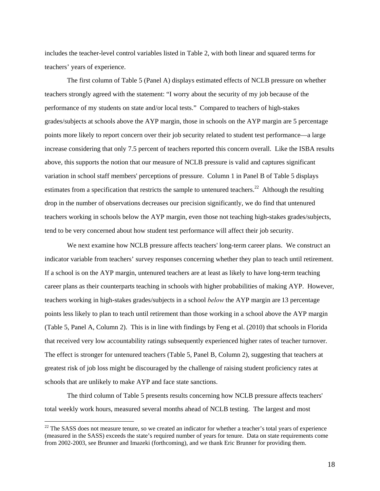includes the teacher-level control variables listed in Table 2, with both linear and squared terms for teachers' years of experience.

 The first column of Table 5 (Panel A) displays estimated effects of NCLB pressure on whether teachers strongly agreed with the statement: "I worry about the security of my job because of the performance of my students on state and/or local tests." Compared to teachers of high-stakes grades/subjects at schools above the AYP margin, those in schools on the AYP margin are 5 percentage points more likely to report concern over their job security related to student test performance—a large increase considering that only 7.5 percent of teachers reported this concern overall. Like the ISBA results above, this supports the notion that our measure of NCLB pressure is valid and captures significant variation in school staff members' perceptions of pressure. Column 1 in Panel B of Table 5 displays estimates from a specification that restricts the sample to untenured teachers.<sup>22</sup> Although the resulting drop in the number of observations decreases our precision significantly, we do find that untenured teachers working in schools below the AYP margin, even those not teaching high-stakes grades/subjects, tend to be very concerned about how student test performance will affect their job security.

We next examine how NCLB pressure affects teachers' long-term career plans. We construct an indicator variable from teachers' survey responses concerning whether they plan to teach until retirement. If a school is on the AYP margin, untenured teachers are at least as likely to have long-term teaching career plans as their counterparts teaching in schools with higher probabilities of making AYP. However, teachers working in high-stakes grades/subjects in a school *below* the AYP margin are 13 percentage points less likely to plan to teach until retirement than those working in a school above the AYP margin (Table 5, Panel A, Column 2). This is in line with findings by Feng et al. (2010) that schools in Florida that received very low accountability ratings subsequently experienced higher rates of teacher turnover. The effect is stronger for untenured teachers (Table 5, Panel B, Column 2), suggesting that teachers at greatest risk of job loss might be discouraged by the challenge of raising student proficiency rates at schools that are unlikely to make AYP and face state sanctions.

The third column of Table 5 presents results concerning how NCLB pressure affects teachers' total weekly work hours, measured several months ahead of NCLB testing. The largest and most

<sup>&</sup>lt;sup>22</sup> The SASS does not measure tenure, so we created an indicator for whether a teacher's total years of experience (measured in the SASS) exceeds the state's required number of years for tenure. Data on state requirements come from 2002-2003, see Brunner and Imazeki (forthcoming), and we thank Eric Brunner for providing them.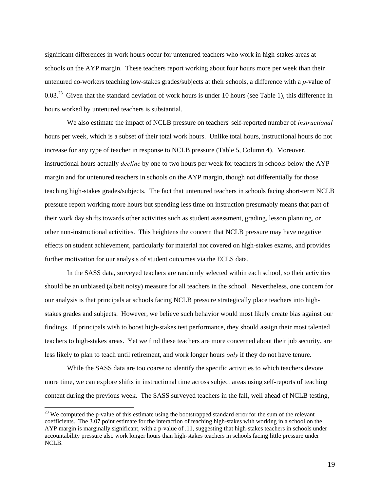significant differences in work hours occur for untenured teachers who work in high-stakes areas at schools on the AYP margin. These teachers report working about four hours more per week than their untenured co-workers teaching low-stakes grades/subjects at their schools, a difference with a *p*-value of 0.03.<sup>23</sup> Given that the standard deviation of work hours is under 10 hours (see Table 1), this difference in hours worked by untenured teachers is substantial.

We also estimate the impact of NCLB pressure on teachers' self-reported number of *instructional* hours per week, which is a subset of their total work hours. Unlike total hours, instructional hours do not increase for any type of teacher in response to NCLB pressure (Table 5, Column 4). Moreover, instructional hours actually *decline* by one to two hours per week for teachers in schools below the AYP margin and for untenured teachers in schools on the AYP margin, though not differentially for those teaching high-stakes grades/subjects. The fact that untenured teachers in schools facing short-term NCLB pressure report working more hours but spending less time on instruction presumably means that part of their work day shifts towards other activities such as student assessment, grading, lesson planning, or other non-instructional activities. This heightens the concern that NCLB pressure may have negative effects on student achievement, particularly for material not covered on high-stakes exams, and provides further motivation for our analysis of student outcomes via the ECLS data.

In the SASS data, surveyed teachers are randomly selected within each school, so their activities should be an unbiased (albeit noisy) measure for all teachers in the school. Nevertheless, one concern for our analysis is that principals at schools facing NCLB pressure strategically place teachers into highstakes grades and subjects. However, we believe such behavior would most likely create bias against our findings. If principals wish to boost high-stakes test performance, they should assign their most talented teachers to high-stakes areas. Yet we find these teachers are more concerned about their job security, are less likely to plan to teach until retirement, and work longer hours *only* if they do not have tenure.

While the SASS data are too coarse to identify the specific activities to which teachers devote more time, we can explore shifts in instructional time across subject areas using self-reports of teaching content during the previous week. The SASS surveyed teachers in the fall, well ahead of NCLB testing,

<sup>&</sup>lt;sup>23</sup> We computed the p-value of this estimate using the bootstrapped standard error for the sum of the relevant coefficients. The 3.07 point estimate for the interaction of teaching high-stakes with working in a school on the AYP margin is marginally significant, with a p-value of .11, suggesting that high-stakes teachers in schools under accountability pressure also work longer hours than high-stakes teachers in schools facing little pressure under NCLB.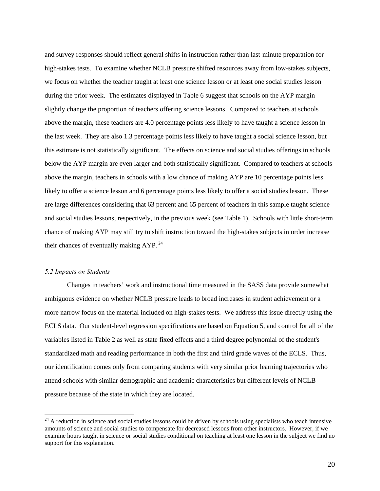and survey responses should reflect general shifts in instruction rather than last-minute preparation for high-stakes tests. To examine whether NCLB pressure shifted resources away from low-stakes subjects, we focus on whether the teacher taught at least one science lesson or at least one social studies lesson during the prior week. The estimates displayed in Table 6 suggest that schools on the AYP margin slightly change the proportion of teachers offering science lessons. Compared to teachers at schools above the margin, these teachers are 4.0 percentage points less likely to have taught a science lesson in the last week. They are also 1.3 percentage points less likely to have taught a social science lesson, but this estimate is not statistically significant. The effects on science and social studies offerings in schools below the AYP margin are even larger and both statistically significant. Compared to teachers at schools above the margin, teachers in schools with a low chance of making AYP are 10 percentage points less likely to offer a science lesson and 6 percentage points less likely to offer a social studies lesson. These are large differences considering that 63 percent and 65 percent of teachers in this sample taught science and social studies lessons, respectively, in the previous week (see Table 1). Schools with little short-term chance of making AYP may still try to shift instruction toward the high-stakes subjects in order increase their chances of eventually making  $AYP<sup>24</sup>$ .

#### *5.2 Impacts on Students*

 $\overline{a}$ 

Changes in teachers' work and instructional time measured in the SASS data provide somewhat ambiguous evidence on whether NCLB pressure leads to broad increases in student achievement or a more narrow focus on the material included on high-stakes tests. We address this issue directly using the ECLS data. Our student-level regression specifications are based on Equation 5, and control for all of the variables listed in Table 2 as well as state fixed effects and a third degree polynomial of the student's standardized math and reading performance in both the first and third grade waves of the ECLS. Thus, our identification comes only from comparing students with very similar prior learning trajectories who attend schools with similar demographic and academic characteristics but different levels of NCLB pressure because of the state in which they are located.

 $^{24}$  A reduction in science and social studies lessons could be driven by schools using specialists who teach intensive amounts of science and social studies to compensate for decreased lessons from other instructors. However, if we examine hours taught in science or social studies conditional on teaching at least one lesson in the subject we find no support for this explanation.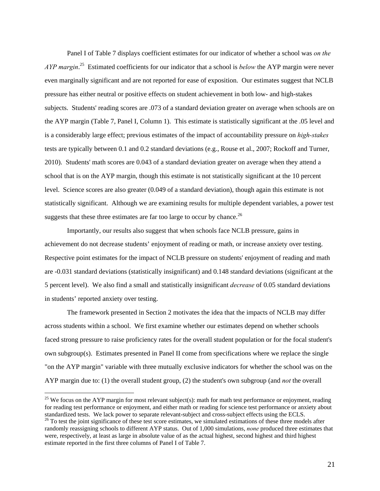Panel I of Table 7 displays coefficient estimates for our indicator of whether a school was *on the AYP margin*. 25 Estimated coefficients for our indicator that a school is *below* the AYP margin were never even marginally significant and are not reported for ease of exposition. Our estimates suggest that NCLB pressure has either neutral or positive effects on student achievement in both low- and high-stakes subjects. Students' reading scores are .073 of a standard deviation greater on average when schools are on the AYP margin (Table 7, Panel I, Column 1). This estimate is statistically significant at the .05 level and is a considerably large effect; previous estimates of the impact of accountability pressure on *high-stakes* tests are typically between 0.1 and 0.2 standard deviations (e.g., Rouse et al., 2007; Rockoff and Turner, 2010). Students' math scores are 0.043 of a standard deviation greater on average when they attend a school that is on the AYP margin, though this estimate is not statistically significant at the 10 percent level. Science scores are also greater (0.049 of a standard deviation), though again this estimate is not statistically significant. Although we are examining results for multiple dependent variables, a power test suggests that these three estimates are far too large to occur by chance.<sup>26</sup>

Importantly, our results also suggest that when schools face NCLB pressure, gains in achievement do not decrease students' enjoyment of reading or math, or increase anxiety over testing. Respective point estimates for the impact of NCLB pressure on students' enjoyment of reading and math are -0.031 standard deviations (statistically insignificant) and 0.148 standard deviations (significant at the 5 percent level). We also find a small and statistically insignificant *decrease* of 0.05 standard deviations in students' reported anxiety over testing.

The framework presented in Section 2 motivates the idea that the impacts of NCLB may differ across students within a school. We first examine whether our estimates depend on whether schools faced strong pressure to raise proficiency rates for the overall student population or for the focal student's own subgroup(s). Estimates presented in Panel II come from specifications where we replace the single "on the AYP margin" variable with three mutually exclusive indicators for whether the school was on the AYP margin due to: (1) the overall student group, (2) the student's own subgroup (and *not* the overall

<sup>&</sup>lt;sup>25</sup> We focus on the AYP margin for most relevant subject(s): math for math test performance or enjoyment, reading for reading test performance or enjoyment, and either math or reading for science test performance or anxiety about standardized tests. We lack power to separate relevant-subject and cross-subject effects using the ECLS. 26 To test the joint significance of these test score estimates, we simulated estimations of these three models after randomly reassigning schools to different AYP status. Out of 1,000 simulations, *none* produced three estimates that were, respectively, at least as large in absolute value of as the actual highest, second highest and third highest estimate reported in the first three columns of Panel I of Table 7.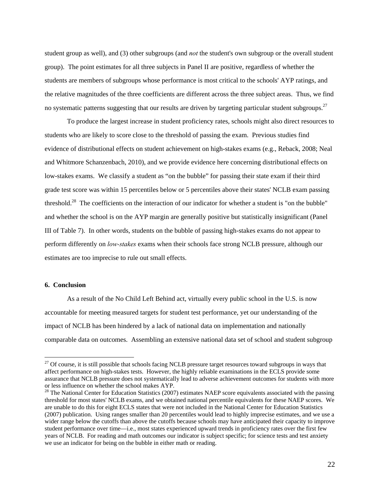student group as well), and (3) other subgroups (and *not* the student's own subgroup or the overall student group). The point estimates for all three subjects in Panel II are positive, regardless of whether the students are members of subgroups whose performance is most critical to the schools' AYP ratings, and the relative magnitudes of the three coefficients are different across the three subject areas. Thus, we find no systematic patterns suggesting that our results are driven by targeting particular student subgroups.<sup>27</sup>

 To produce the largest increase in student proficiency rates, schools might also direct resources to students who are likely to score close to the threshold of passing the exam. Previous studies find evidence of distributional effects on student achievement on high-stakes exams (e.g., Reback, 2008; Neal and Whitmore Schanzenbach, 2010), and we provide evidence here concerning distributional effects on low-stakes exams. We classify a student as "on the bubble" for passing their state exam if their third grade test score was within 15 percentiles below or 5 percentiles above their states' NCLB exam passing threshold.<sup>28</sup> The coefficients on the interaction of our indicator for whether a student is "on the bubble" and whether the school is on the AYP margin are generally positive but statistically insignificant (Panel III of Table 7). In other words, students on the bubble of passing high-stakes exams do not appear to perform differently on *low-stakes* exams when their schools face strong NCLB pressure, although our estimates are too imprecise to rule out small effects.

### **6. Conclusion**

 $\overline{a}$ 

As a result of the No Child Left Behind act, virtually every public school in the U.S. is now accountable for meeting measured targets for student test performance, yet our understanding of the impact of NCLB has been hindered by a lack of national data on implementation and nationally comparable data on outcomes. Assembling an extensive national data set of school and student subgroup

<sup>&</sup>lt;sup>27</sup> Of course, it is still possible that schools facing NCLB pressure target resources toward subgroups in ways that affect performance on high-stakes tests. However, the highly reliable examinations in the ECLS provide some assurance that NCLB pressure does not systematically lead to adverse achievement outcomes for students with more or less influence on whether the school makes AYP.

 $28$  The National Center for Education Statistics (2007) estimates NAEP score equivalents associated with the passing threshold for most states' NCLB exams, and we obtained national percentile equivalents for these NAEP scores. We are unable to do this for eight ECLS states that were not included in the National Center for Education Statistics (2007) publication. Using ranges smaller than 20 percentiles would lead to highly imprecise estimates, and we use a wider range below the cutoffs than above the cutoffs because schools may have anticipated their capacity to improve student performance over time—i.e., most states experienced upward trends in proficiency rates over the first few years of NCLB. For reading and math outcomes our indicator is subject specific; for science tests and test anxiety we use an indicator for being on the bubble in either math or reading.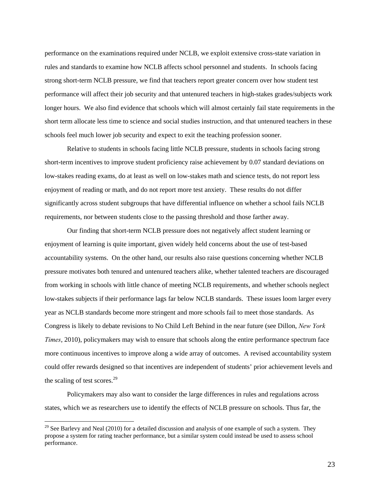performance on the examinations required under NCLB, we exploit extensive cross-state variation in rules and standards to examine how NCLB affects school personnel and students. In schools facing strong short-term NCLB pressure, we find that teachers report greater concern over how student test performance will affect their job security and that untenured teachers in high-stakes grades/subjects work longer hours. We also find evidence that schools which will almost certainly fail state requirements in the short term allocate less time to science and social studies instruction, and that untenured teachers in these schools feel much lower job security and expect to exit the teaching profession sooner.

Relative to students in schools facing little NCLB pressure, students in schools facing strong short-term incentives to improve student proficiency raise achievement by 0.07 standard deviations on low-stakes reading exams, do at least as well on low-stakes math and science tests, do not report less enjoyment of reading or math, and do not report more test anxiety. These results do not differ significantly across student subgroups that have differential influence on whether a school fails NCLB requirements, nor between students close to the passing threshold and those farther away.

Our finding that short-term NCLB pressure does not negatively affect student learning or enjoyment of learning is quite important, given widely held concerns about the use of test-based accountability systems. On the other hand, our results also raise questions concerning whether NCLB pressure motivates both tenured and untenured teachers alike, whether talented teachers are discouraged from working in schools with little chance of meeting NCLB requirements, and whether schools neglect low-stakes subjects if their performance lags far below NCLB standards. These issues loom larger every year as NCLB standards become more stringent and more schools fail to meet those standards. As Congress is likely to debate revisions to No Child Left Behind in the near future (see Dillon, *New York Times*, 2010), policymakers may wish to ensure that schools along the entire performance spectrum face more continuous incentives to improve along a wide array of outcomes. A revised accountability system could offer rewards designed so that incentives are independent of students' prior achievement levels and the scaling of test scores.<sup>29</sup>

Policymakers may also want to consider the large differences in rules and regulations across states, which we as researchers use to identify the effects of NCLB pressure on schools. Thus far, the

 $29$  See Barlevy and Neal (2010) for a detailed discussion and analysis of one example of such a system. They propose a system for rating teacher performance, but a similar system could instead be used to assess school performance.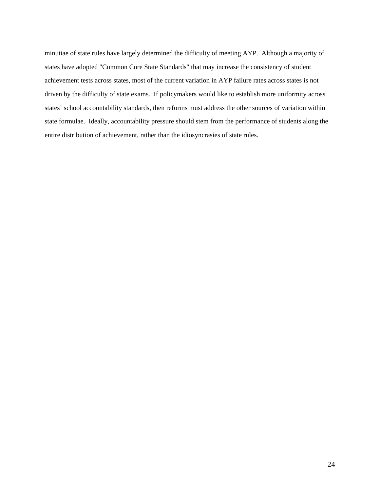minutiae of state rules have largely determined the difficulty of meeting AYP. Although a majority of states have adopted "Common Core State Standards" that may increase the consistency of student achievement tests across states, most of the current variation in AYP failure rates across states is not driven by the difficulty of state exams. If policymakers would like to establish more uniformity across states' school accountability standards, then reforms must address the other sources of variation within state formulae. Ideally, accountability pressure should stem from the performance of students along the entire distribution of achievement, rather than the idiosyncrasies of state rules.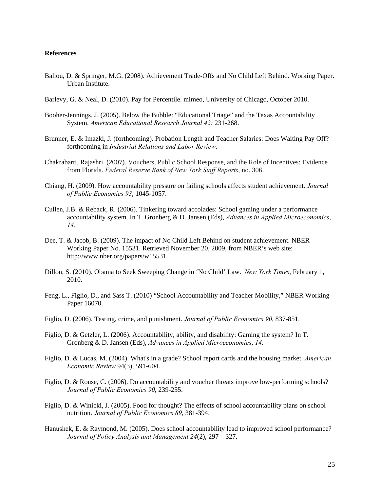### **References**

- Ballou, D. & Springer, M.G. (2008). Achievement Trade-Offs and No Child Left Behind. Working Paper. Urban Institute.
- Barlevy, G. & Neal, D. (2010). Pay for Percentile. mimeo, University of Chicago, October 2010.
- Booher-Jennings, J. (2005). Below the Bubble: "Educational Triage" and the Texas Accountability System. *American Educational Research Journal 42:* 231-268.
- Brunner, E. & Imazki, J. (forthcoming). Probation Length and Teacher Salaries: Does Waiting Pay Off? forthcoming in *Industrial Relations and Labor Review*.
- Chakrabarti, Rajashri. (2007). Vouchers, Public School Response, and the Role of Incentives: Evidence from Florida. *Federal Reserve Bank of New York Staff Reports*, no. 306.
- Chiang, H. (2009). How accountability pressure on failing schools affects student achievement. *Journal of Public Economics 93*, 1045-1057.
- Cullen, J.B. & Reback, R. (2006). Tinkering toward accolades: School gaming under a performance accountability system. In T. Gronberg & D. Jansen (Eds), *Advances in Applied Microeconomics*, *14*.
- Dee, T. & Jacob, B. (2009). The impact of No Child Left Behind on student achievement. NBER Working Paper No. 15531. Retrieved November 20, 2009, from NBER's web site: http://www.nber.org/papers/w15531
- Dillon, S. (2010). Obama to Seek Sweeping Change in 'No Child' Law. *New York Times*, February 1, 2010.
- Feng, L., Figlio, D., and Sass T. (2010) "School Accountability and Teacher Mobility," NBER Working Paper 16070.
- Figlio, D. (2006). Testing, crime, and punishment. *Journal of Public Economics 90*, 837-851.
- Figlio, D. & Getzler, L. (2006). Accountability, ability, and disability: Gaming the system? In T. Gronberg & D. Jansen (Eds), *Advances in Applied Microeconomics*, *14*.
- Figlio, D. & Lucas, M. (2004). What's in a grade? School report cards and the housing market. *American Economic Review* 94(3), 591-604.
- Figlio, D. & Rouse, C. (2006). Do accountability and voucher threats improve low-performing schools? *Journal of Public Economics 90*, 239-255.
- Figlio, D. & Winicki, J. (2005). Food for thought? The effects of school accountability plans on school nutrition. *Journal of Public Economics 89*, 381-394.
- Hanushek, E. & Raymond, M. (2005). Does school accountability lead to improved school performance? *Journal of Policy Analysis and Management 24*(2), 297 – 327.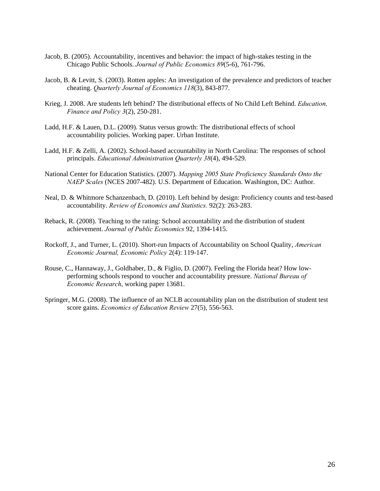- Jacob, B. (2005). Accountability, incentives and behavior: the impact of high-stakes testing in the Chicago Public Schools. *Journal of Public Economics 89*(5-6), 761-796.
- Jacob, B. & Levitt, S. (2003). Rotten apples: An investigation of the prevalence and predictors of teacher cheating. *Quarterly Journal of Economics 118*(3), 843-877.
- Krieg, J. 2008. Are students left behind? The distributional effects of No Child Left Behind. *Education, Finance and Policy 3*(2), 250-281.
- Ladd, H.F. & Lauen, D.L. (2009). Status versus growth: The distributional effects of school accountability policies. Working paper. Urban Institute.
- Ladd, H.F. & Zelli, A. (2002). School-based accountability in North Carolina: The responses of school principals. *Educational Administration Quarterly 38*(4), 494-529.
- National Center for Education Statistics. (2007). *Mapping 2005 State Proficiency Standards Onto the NAEP Scales* (NCES 2007-482). U.S. Department of Education. Washington, DC: Author.
- Neal, D. & Whitmore Schanzenbach, D. (2010). Left behind by design: Proficiency counts and test-based accountability. *Review of Economics and Statistics.* 92(2): 263-283.
- Reback, R. (2008). Teaching to the rating: School accountability and the distribution of student achievement. *Journal of Public Economics* 92, 1394-1415.
- Rockoff, J., and Turner, L. (2010). Short-run Impacts of Accountability on School Quality, *American Economic Journal, Economic Policy* 2(4): 119-147.
- Rouse, C., Hannaway, J., Goldhaber, D., & Figlio, D. (2007). Feeling the Florida heat? How lowperforming schools respond to voucher and accountability pressure. *National Bureau of Economic Research*, working paper 13681.
- Springer, M.G. (2008). The influence of an NCLB accountability plan on the distribution of student test score gains. *Economics of Education Review* 27(5), 556-563.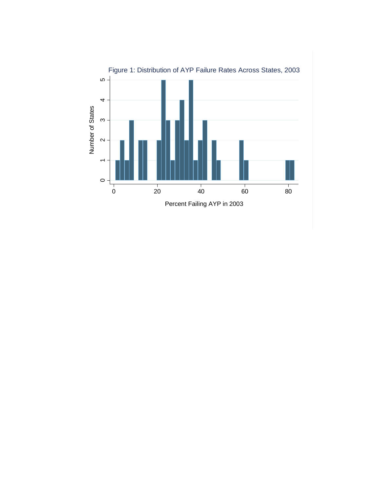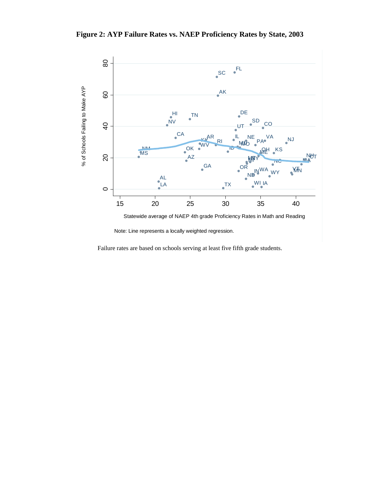**Figure 2: AYP Failure Rates vs. NAEP Proficiency Rates by State, 2003** 



Note: Line represents a locally weighted regression.

Failure rates are based on schools serving at least five fifth grade students.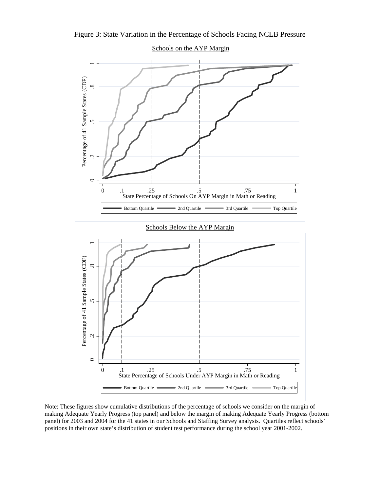

Figure 3: State Variation in the Percentage of Schools Facing NCLB Pressure

Note: These figures show cumulative distributions of the percentage of schools we consider on the margin of making Adequate Yearly Progress (top panel) and below the margin of making Adequate Yearly Progress (bottom panel) for 2003 and 2004 for the 41 states in our Schools and Staffing Survey analysis. Quartiles reflect schools' positions in their own state's distribution of student test performance during the school year 2001-2002.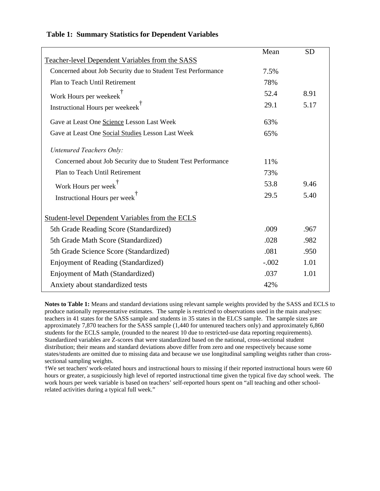|                                                              | Mean    | <b>SD</b> |
|--------------------------------------------------------------|---------|-----------|
| Teacher-level Dependent Variables from the SASS              |         |           |
| Concerned about Job Security due to Student Test Performance | 7.5%    |           |
| Plan to Teach Until Retirement                               | 78%     |           |
| Work Hours per weekeek <sup>†</sup>                          | 52.4    | 8.91      |
| Instructional Hours per weekeek <sup>T</sup>                 | 29.1    | 5.17      |
| Gave at Least One Science Lesson Last Week                   | 63%     |           |
| Gave at Least One Social Studies Lesson Last Week            | 65%     |           |
| <b>Untenured Teachers Only:</b>                              |         |           |
| Concerned about Job Security due to Student Test Performance | 11%     |           |
| Plan to Teach Until Retirement                               | 73%     |           |
| Work Hours per week <sup>†</sup>                             | 53.8    | 9.46      |
| Instructional Hours per week <sup>1</sup>                    | 29.5    | 5.40      |
| <b>Student-level Dependent Variables from the ECLS</b>       |         |           |
| 5th Grade Reading Score (Standardized)                       | .009    | .967      |
| 5th Grade Math Score (Standardized)                          | .028    | .982      |
| 5th Grade Science Score (Standardized)                       | .081    | .950      |
| Enjoyment of Reading (Standardized)                          | $-.002$ | 1.01      |
| Enjoyment of Math (Standardized)                             | .037    | 1.01      |
| Anxiety about standardized tests                             | 42%     |           |

# **Table 1: Summary Statistics for Dependent Variables**

**Notes to Table 1:** Means and standard deviations using relevant sample weights provided by the SASS and ECLS to produce nationally representative estimates. The sample is restricted to observations used in the main analyses: teachers in 41 states for the SASS sample and students in 35 states in the ELCS sample. The sample sizes are approximately 7,870 teachers for the SASS sample (1,440 for untenured teachers only) and approximately 6,860 students for the ECLS sample, (rounded to the nearest 10 due to restricted-use data reporting requirements). Standardized variables are Z-scores that were standardized based on the national, cross-sectional student distribution; their means and standard deviations above differ from zero and one respectively because some states/students are omitted due to missing data and because we use longitudinal sampling weights rather than crosssectional sampling weights.

†We set teachers' work-related hours and instructional hours to missing if their reported instructional hours were 60 hours or greater, a suspiciously high level of reported instructional time given the typical five day school week. The work hours per week variable is based on teachers' self-reported hours spent on "all teaching and other schoolrelated activities during a typical full week."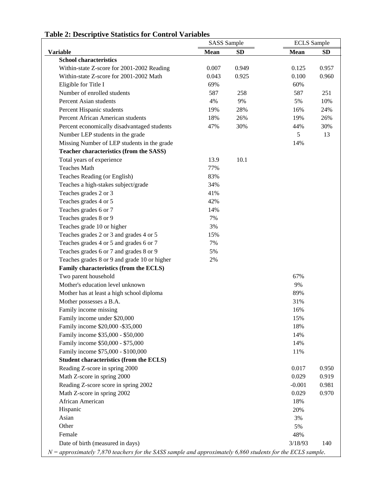|                                                                                                              | <b>SASS</b> Sample |           | <b>ECLS</b> Sample |           |
|--------------------------------------------------------------------------------------------------------------|--------------------|-----------|--------------------|-----------|
| <b>Variable</b>                                                                                              | <b>Mean</b>        | <b>SD</b> | <b>Mean</b>        | <b>SD</b> |
| <b>School characteristics</b>                                                                                |                    |           |                    |           |
| Within-state Z-score for 2001-2002 Reading                                                                   | 0.007              | 0.949     | 0.125              | 0.957     |
| Within-state Z-score for 2001-2002 Math                                                                      | 0.043              | 0.925     | 0.100              | 0.960     |
| Eligible for Title I                                                                                         | 69%                |           | 60%                |           |
| Number of enrolled students                                                                                  | 587                | 258       | 587                | 251       |
| Percent Asian students                                                                                       | 4%                 | 9%        | 5%                 | 10%       |
| Percent Hispanic students                                                                                    | 19%                | 28%       | 16%                | 24%       |
| Percent African American students                                                                            | 18%                | 26%       | 19%                | 26%       |
| Percent economically disadvantaged students                                                                  | 47%                | 30%       | 44%                | 30%       |
| Number LEP students in the grade                                                                             |                    |           | 5                  | 13        |
| Missing Number of LEP students in the grade                                                                  |                    |           | 14%                |           |
| Teacher characteristics (from the SASS)                                                                      |                    |           |                    |           |
| Total years of experience                                                                                    | 13.9               | 10.1      |                    |           |
| <b>Teaches Math</b>                                                                                          | 77%                |           |                    |           |
| Teaches Reading (or English)                                                                                 | 83%                |           |                    |           |
| Teaches a high-stakes subject/grade                                                                          | 34%                |           |                    |           |
| Teaches grades 2 or 3                                                                                        | 41%                |           |                    |           |
| Teaches grades 4 or 5                                                                                        | 42%                |           |                    |           |
| Teaches grades 6 or 7                                                                                        | 14%                |           |                    |           |
| Teaches grades 8 or 9                                                                                        | 7%                 |           |                    |           |
| Teaches grade 10 or higher                                                                                   | 3%                 |           |                    |           |
| Teaches grades 2 or 3 and grades 4 or 5                                                                      | 15%                |           |                    |           |
| Teaches grades 4 or 5 and grades 6 or 7                                                                      | 7%                 |           |                    |           |
| Teaches grades 6 or 7 and grades 8 or 9                                                                      | 5%                 |           |                    |           |
| Teaches grades 8 or 9 and grade 10 or higher                                                                 | 2%                 |           |                    |           |
| Family characteristics (from the ECLS)                                                                       |                    |           |                    |           |
| Two parent household                                                                                         |                    |           | 67%                |           |
| Mother's education level unknown                                                                             |                    |           | 9%                 |           |
| Mother has at least a high school diploma                                                                    |                    |           | 89%                |           |
| Mother possesses a B.A.                                                                                      |                    |           | 31%                |           |
| Family income missing                                                                                        |                    |           | 16%                |           |
| Family income under \$20,000                                                                                 |                    |           | 15%                |           |
| Family income \$20,000 - \$35,000                                                                            |                    |           | 18%                |           |
| Family income \$35,000 - \$50,000                                                                            |                    |           | 14%                |           |
| Family income \$50,000 - \$75,000                                                                            |                    |           | 14%                |           |
| Family income \$75,000 - \$100,000                                                                           |                    |           | 11%                |           |
| Student characteristics (from the ECLS)                                                                      |                    |           |                    |           |
| Reading Z-score in spring 2000                                                                               |                    |           | 0.017              | 0.950     |
| Math Z-score in spring 2000                                                                                  |                    |           | 0.029              | 0.919     |
|                                                                                                              |                    |           | $-0.001$           | 0.981     |
| Reading Z-score score in spring 2002                                                                         |                    |           |                    |           |
| Math Z-score in spring 2002                                                                                  |                    |           | 0.029              | 0.970     |
| African American                                                                                             |                    |           | 18%                |           |
| Hispanic                                                                                                     |                    |           | 20%                |           |
| Asian                                                                                                        |                    |           | 3%                 |           |
| Other                                                                                                        |                    |           | 5%                 |           |
| Female                                                                                                       |                    |           | 48%                |           |
| Date of birth (measured in days)                                                                             |                    |           | 3/18/93            | 140       |
| $N =$ approximately 7,870 teachers for the SASS sample and approximately 6,860 students for the ECLS sample. |                    |           |                    |           |

# **Table 2: Descriptive Statistics for Control Variables**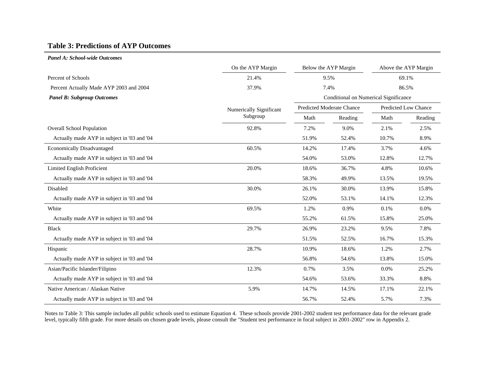# **Table 3: Predictions of AYP Outcomes**

#### *Panel A: School-wide Outcomes*

|                                             | On the AYP Margin       |                                       | Below the AYP Margin |                      | Above the AYP Margin |
|---------------------------------------------|-------------------------|---------------------------------------|----------------------|----------------------|----------------------|
| Percent of Schools                          | 21.4%                   |                                       | 9.5%                 |                      | 69.1%                |
| Percent Actually Made AYP 2003 and 2004     | 37.9%                   |                                       | 7.4%                 |                      | 86.5%                |
| <b>Panel B: Subgroup Outcomes</b>           |                         | Conditional on Numerical Significance |                      |                      |                      |
|                                             | Numerically Significant | <b>Predicted Moderate Chance</b>      |                      | Predicted Low Chance |                      |
|                                             | Subgroup                | Math                                  | Reading              | Math                 | Reading              |
| <b>Overall School Population</b>            | 92.8%                   | 7.2%                                  | 9.0%                 | 2.1%                 | 2.5%                 |
| Actually made AYP in subject in '03 and '04 |                         | 51.9%                                 | 52.4%                | 10.7%                | 8.9%                 |
| <b>Economically Disadvantaged</b>           | 60.5%                   | 14.2%                                 | 17.4%                | 3.7%                 | 4.6%                 |
| Actually made AYP in subject in '03 and '04 |                         | 54.0%                                 | 53.0%                | 12.8%                | 12.7%                |
| Limited English Proficient                  | 20.0%                   | 18.6%                                 | 36.7%                | 4.8%                 | 10.6%                |
| Actually made AYP in subject in '03 and '04 |                         | 58.3%                                 | 49.9%                | 13.5%                | 19.5%                |
| Disabled                                    | 30.0%                   | 26.1%                                 | 30.0%                | 13.9%                | 15.8%                |
| Actually made AYP in subject in '03 and '04 |                         | 52.0%                                 | 53.1%                | 14.1%                | 12.3%                |
| White                                       | 69.5%                   | 1.2%                                  | 0.9%                 | 0.1%                 | $0.0\%$              |
| Actually made AYP in subject in '03 and '04 |                         | 55.2%                                 | 61.5%                | 15.8%                | 25.0%                |
| <b>Black</b>                                | 29.7%                   | 26.9%                                 | 23.2%                | 9.5%                 | 7.8%                 |
| Actually made AYP in subject in '03 and '04 |                         | 51.5%                                 | 52.5%                | 16.7%                | 15.3%                |
| Hispanic                                    | 28.7%                   | 10.9%                                 | 18.6%                | 1.2%                 | 2.7%                 |
| Actually made AYP in subject in '03 and '04 |                         | 56.8%                                 | 54.6%                | 13.8%                | 15.0%                |
| Asian/Pacific Islander/Filipino             | 12.3%                   | 0.7%                                  | 3.5%                 | 0.0%                 | 25.2%                |
| Actually made AYP in subject in '03 and '04 |                         | 54.6%                                 | 53.6%                | 33.3%                | 8.8%                 |
| Native American / Alaskan Native            | 5.9%                    | 14.7%                                 | 14.5%                | 17.1%                | 22.1%                |
| Actually made AYP in subject in '03 and '04 |                         | 56.7%                                 | 52.4%                | 5.7%                 | 7.3%                 |

Notes to Table 3: This sample includes all public schools used to estimate Equation 4. These schools provide 2001-2002 student test performance data for the relevant grade level, typically fifth grade. For more details on chosen grade levels, please consult the "Student test performance in focal subject in 2001-2002" row in Appendix 2.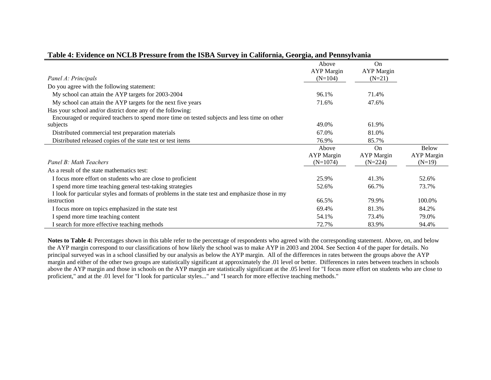|                                                                                                  | Above<br><b>AYP</b> Margin | On<br><b>AYP</b> Margin |                   |
|--------------------------------------------------------------------------------------------------|----------------------------|-------------------------|-------------------|
| Panel A: Principals                                                                              | $(N=104)$                  | $(N=21)$                |                   |
| Do you agree with the following statement:                                                       |                            |                         |                   |
| My school can attain the AYP targets for 2003-2004                                               | 96.1%                      | 71.4%                   |                   |
| My school can attain the AYP targets for the next five years                                     | 71.6%                      | 47.6%                   |                   |
| Has your school and/or district done any of the following:                                       |                            |                         |                   |
| Encouraged or required teachers to spend more time on tested subjects and less time on other     |                            |                         |                   |
| subjects                                                                                         | 49.0%                      | 61.9%                   |                   |
| Distributed commercial test preparation materials                                                | 67.0%                      | 81.0%                   |                   |
| Distributed released copies of the state test or test items                                      | 76.9%                      | 85.7%                   |                   |
|                                                                                                  | Above                      | On                      | <b>Below</b>      |
|                                                                                                  | <b>AYP</b> Margin          | <b>AYP</b> Margin       | <b>AYP</b> Margin |
| Panel B: Math Teachers                                                                           | $(N=1074)$                 | $(N=224)$               | $(N=19)$          |
| As a result of the state mathematics test:                                                       |                            |                         |                   |
| I focus more effort on students who are close to proficient                                      | 25.9%                      | 41.3%                   | 52.6%             |
| I spend more time teaching general test-taking strategies                                        | 52.6%                      | 66.7%                   | 73.7%             |
| I look for particular styles and formats of problems in the state test and emphasize those in my |                            |                         |                   |
| instruction                                                                                      | 66.5%                      | 79.9%                   | 100.0%            |
| I focus more on topics emphasized in the state test                                              | 69.4%                      | 81.3%                   | 84.2%             |
| I spend more time teaching content                                                               | 54.1%                      | 73.4%                   | 79.0%             |
| I search for more effective teaching methods                                                     | 72.7%                      | 83.9%                   | 94.4%             |

# **Table 4: Evidence on NCLB Pressure from the ISBA Survey in California, Georgia, and Pennsylvania**

Notes to Table 4: Percentages shown in this table refer to the percentage of respondents who agreed with the corresponding statement. Above, on, and below the AYP margin correspond to our classifications of how likely the school was to make AYP in 2003 and 2004. See Section 4 of the paper for details. No principal surveyed was in a school classified by our analysis as below the AYP margin. All of the differences in rates between the groups above the AYP margin and either of the other two groups are statistically significant at approximately the .01 level or better. Differences in rates between teachers in schools above the AYP margin and those in schools on the AYP margin are statistically significant at the .05 level for "I focus more effort on students who are close to proficient," and at the .01 level for "I look for particular styles..." and "I search for more effective teaching methods."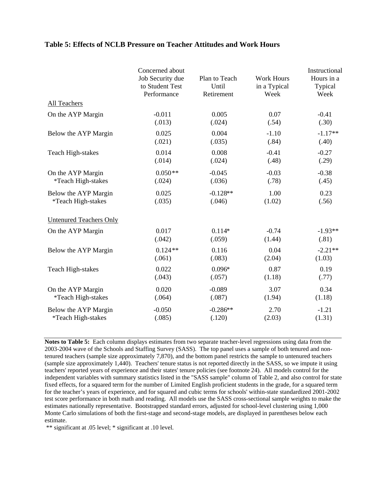# **Table 5: Effects of NCLB Pressure on Teacher Attitudes and Work Hours**

|                                | Concerned about<br>Job Security due<br>to Student Test<br>Performance | Plan to Teach<br>Until<br>Retirement | <b>Work Hours</b><br>in a Typical<br>Week | Instructional<br>Hours in a<br>Typical<br>Week |
|--------------------------------|-----------------------------------------------------------------------|--------------------------------------|-------------------------------------------|------------------------------------------------|
| <b>All Teachers</b>            |                                                                       |                                      |                                           |                                                |
| On the AYP Margin              | $-0.011$                                                              | 0.005                                | 0.07                                      | $-0.41$                                        |
|                                | (.013)                                                                | (.024)                               | (.54)                                     | (.30)                                          |
| Below the AYP Margin           | 0.025                                                                 | 0.004                                | $-1.10$                                   | $-1.17**$                                      |
|                                | (.021)                                                                | (.035)                               | (.84)                                     | (.40)                                          |
| <b>Teach High-stakes</b>       | 0.014                                                                 | 0.008                                | $-0.41$                                   | $-0.27$                                        |
|                                | (.014)                                                                | (.024)                               | (.48)                                     | (.29)                                          |
| On the AYP Margin              | $0.050**$                                                             | $-0.045$                             | $-0.03$                                   | $-0.38$                                        |
| *Teach High-stakes             | (.024)                                                                | (.036)                               | (.78)                                     | (.45)                                          |
| Below the AYP Margin           | 0.025                                                                 | $-0.128**$                           | 1.00                                      | 0.23                                           |
| *Teach High-stakes             | (.035)                                                                | (.046)                               | (1.02)                                    | (.56)                                          |
| <b>Untenured Teachers Only</b> |                                                                       |                                      |                                           |                                                |
| On the AYP Margin              | 0.017                                                                 | $0.114*$                             | $-0.74$                                   | $-1.93**$                                      |
|                                | (.042)                                                                | (.059)                               | (1.44)                                    | (.81)                                          |
| Below the AYP Margin           | $0.124**$                                                             | 0.116                                | 0.04                                      | $-2.21**$                                      |
|                                | (.061)                                                                | (.083)                               | (2.04)                                    | (1.03)                                         |
| <b>Teach High-stakes</b>       | 0.022                                                                 | $0.096*$                             | 0.87                                      | 0.19                                           |
|                                | (.043)                                                                | (.057)                               | (1.18)                                    | (.77)                                          |
| On the AYP Margin              | 0.020                                                                 | $-0.089$                             | 3.07                                      | 0.34                                           |
| *Teach High-stakes             | (.064)                                                                | (.087)                               | (1.94)                                    | (1.18)                                         |
| Below the AYP Margin           | $-0.050$                                                              | $-0.286**$                           | 2.70                                      | $-1.21$                                        |
| *Teach High-stakes             | (.085)                                                                | (.120)                               | (2.03)                                    | (1.31)                                         |

**Notes to Table 5:** Each column displays estimates from two separate teacher-level regressions using data from the 2003-2004 wave of the Schools and Staffing Survey (SASS). The top panel uses a sample of both tenured and nontenured teachers (sample size approximately 7,870), and the bottom panel restricts the sample to untenured teachers (sample size approximately 1,440). Teachers' tenure status is not reported directly in the SASS, so we impute it using teachers' reported years of experience and their states' tenure policies (see footnote 24). All models control for the independent variables with summary statistics listed in the "SASS sample" column of Table 2, and also control for state fixed effects, for a squared term for the number of Limited English proficient students in the grade, for a squared term for the teacher's years of experience, and for squared and cubic terms for schools' within-state standardized 2001-2002 test score performance in both math and reading. All models use the SASS cross-sectional sample weights to make the estimates nationally representative. Bootstrapped standard errors, adjusted for school-level clustering using 1,000 Monte Carlo simulations of both the first-stage and second-stage models, are displayed in parentheses below each estimate.

\*\* significant at .05 level; \* significant at .10 level.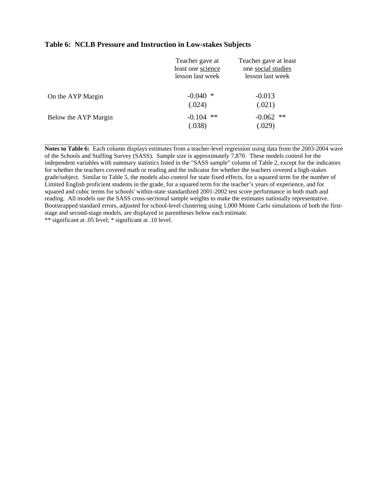# **Table 6: NCLB Pressure and Instruction in Low-stakes Subjects**

|                      | Teacher gave at<br>least one science<br>lesson last week | Teacher gave at least<br>one social studies<br>lesson last week |
|----------------------|----------------------------------------------------------|-----------------------------------------------------------------|
| On the AYP Margin    | $-0.040$<br>∗<br>(.024)                                  | $-0.013$<br>(.021)                                              |
| Below the AYP Margin | $\ast\ast$<br>$-0.104$<br>(.038)                         | **<br>$-0.062$<br>(.029)                                        |

**Notes to Table 6:** Each column displays estimates from a teacher-level regression using data from the 2003-2004 wave of the Schools and Staffing Survey (SASS). Sample size is approximately 7,870. These models control for the independent variables with summary statistics listed in the "SASS sample" column of Table 2, except for the indicators for whether the teachers covered math or reading and the indicator for whether the teachers covered a high-stakes grade/subject. Similar to Table 5, the models also control for state fixed effects, for a squared term for the number of Limited English proficient students in the grade, for a squared term for the teacher's years of experience, and for squared and cubic terms for schools' within-state standardized 2001-2002 test score performance in both math and reading. All models use the SASS cross-sectional sample weights to make the estimates nationally representative. Bootstrapped standard errors, adjusted for school-level clustering using 1,000 Monte Carlo simulations of both the firststage and second-stage models, are displayed in parentheses below each estimate. \*\* significant at .05 level; \* significant at .10 level.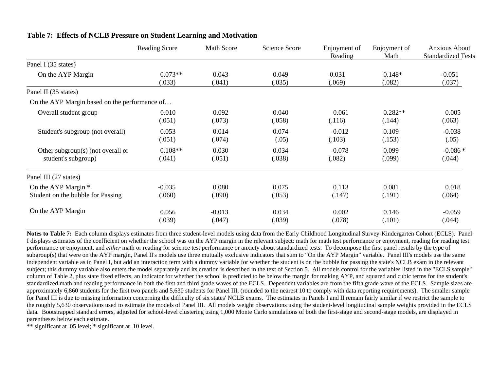|                                               | <b>Reading Score</b> | <b>Math Score</b> | Science Score | Enjoyment of<br>Reading | Enjoyment of<br>Math | <b>Anxious About</b><br><b>Standardized Tests</b> |
|-----------------------------------------------|----------------------|-------------------|---------------|-------------------------|----------------------|---------------------------------------------------|
| Panel I (35 states)                           |                      |                   |               |                         |                      |                                                   |
| On the AYP Margin                             | $0.073**$            | 0.043             | 0.049         | $-0.031$                | $0.148*$             | $-0.051$                                          |
|                                               | (.033)               | (.041)            | (.035)        | (.069)                  | (.082)               | (.037)                                            |
| Panel II (35 states)                          |                      |                   |               |                         |                      |                                                   |
| On the AYP Margin based on the performance of |                      |                   |               |                         |                      |                                                   |
| Overall student group                         | 0.010                | 0.092             | 0.040         | 0.061                   | $0.282**$            | 0.005                                             |
|                                               | (.051)               | (.073)            | (.058)        | (.116)                  | (.144)               | (.063)                                            |
| Student's subgroup (not overall)              | 0.053                | 0.014             | 0.074         | $-0.012$                | 0.109                | $-0.038$                                          |
|                                               | (.051)               | (.074)            | (.05)         | (.103)                  | (.153)               | (.05)                                             |
| Other subgroup(s) (not overall or             | $0.108**$            | 0.030             | 0.034         | $-0.078$                | 0.099                | $-0.086*$                                         |
| student's subgroup)                           | (.041)               | (.051)            | (.038)        | (.082)                  | (.099)               | (.044)                                            |
| Panel III (27 states)                         |                      |                   |               |                         |                      |                                                   |
| On the AYP Margin *                           | $-0.035$             | 0.080             | 0.075         | 0.113                   | 0.081                | 0.018                                             |
| Student on the bubble for Passing             | (.060)               | (.090)            | (.053)        | (.147)                  | (.191)               | (.064)                                            |
| On the AYP Margin                             | 0.056                | $-0.013$          | 0.034         | 0.002                   | 0.146                | $-0.059$                                          |
|                                               | (.039)               | (.047)            | (.039)        | (.078)                  | (.101)               | (.044)                                            |

# **Table 7: Effects of NCLB Pressure on Student Learning and Motivation**

**Notes to Table 7:** Each column displays estimates from three student-level models using data from the Early Childhood Longitudinal Survey-Kindergarten Cohort (ECLS). Panel I displays estimates of the coefficient on whether the school was on the AYP margin in the relevant subject: math for math test performance or enjoyment, reading for reading test performance or enjoyment, and *either* math or reading for science test performance or anxiety about standardized tests. To decompose the first panel results by the type of subgroup(s) that were on the AYP margin, Panel II's models use three mutually exclusive indicators that sum to "On the AYP Margin" variable. Panel III's models use the same independent variable as in Panel I, but add an interaction term with a dummy variable for whether the student is on the bubble for passing the state's NCLB exam in the relevant subject; this dummy variable also enters the model separately and its creation is described in the text of Section 5. All models control for the variables listed in the "ECLS sample" column of Table 2, plus state fixed effects, an indicator for whether the school is predicted to be below the margin for making AYP, and squared and cubic terms for the student's standardized math and reading performance in both the first and third grade waves of the ECLS. Dependent variables are from the fifth grade wave of the ECLS. Sample sizes are approximately 6,860 students for the first two panels and 5,630 students for Panel III, (rounded to the nearest 10 to comply with data reporting requirements). The smaller sample for Panel III is due to missing information concerning the difficulty of six states' NCLB exams. The estimates in Panels I and II remain fairly similar if we restrict the sample to the roughly 5,630 observations used to estimate the models of Panel III. All models weight observations using the student-level longitudinal sample weights provided in the ECLS data. Bootstrapped standard errors, adjusted for school-level clustering using 1,000 Monte Carlo simulations of both the first-stage and second-stage models, are displayed in parentheses below each estimate.

\*\* significant at .05 level; \* significant at .10 level.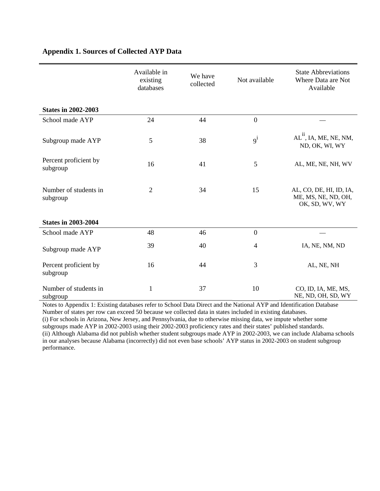|                                   | Available in<br>existing<br>databases | We have<br>collected | Not available    | <b>State Abbreviations</b><br>Where Data are Not<br>Available    |
|-----------------------------------|---------------------------------------|----------------------|------------------|------------------------------------------------------------------|
| <b>States in 2002-2003</b>        |                                       |                      |                  |                                                                  |
| School made AYP                   | 24                                    | 44                   | $\boldsymbol{0}$ |                                                                  |
| Subgroup made AYP                 | 5                                     | 38                   | $9^{i}$          | $AL11$ , IA, ME, NE, NM,<br>ND, OK, WI, WY                       |
| Percent proficient by<br>subgroup | 16                                    | 41                   | 5                | AL, ME, NE, NH, WV                                               |
| Number of students in<br>subgroup | $\overline{2}$                        | 34                   | 15               | AL, CO, DE, HI, ID, IA,<br>ME, MS, NE, ND, OH,<br>OK, SD, WV, WY |
| <b>States in 2003-2004</b>        |                                       |                      |                  |                                                                  |
| School made AYP                   | 48                                    | 46                   | $\boldsymbol{0}$ |                                                                  |
| Subgroup made AYP                 | 39                                    | 40                   | $\overline{4}$   | IA, NE, NM, ND                                                   |
| Percent proficient by<br>subgroup | 16                                    | 44                   | 3                | AL, NE, NH                                                       |
| Number of students in<br>subgroup | $\mathbf{1}$                          | 37                   | 10               | CO, ID, IA, ME, MS,<br>NE, ND, OH, SD, WY                        |

# **Appendix 1. Sources of Collected AYP Data**

Notes to Appendix 1: Existing databases refer to School Data Direct and the National AYP and Identification Database Number of states per row can exceed 50 because we collected data in states included in existing databases.

(i) For schools in Arizona, New Jersey, and Pennsylvania, due to otherwise missing data, we impute whether some subgroups made AYP in 2002-2003 using their 2002-2003 proficiency rates and their states' published standards. (ii) Although Alabama did not publish whether student subgroups made AYP in 2002-2003, we can include Alabama schools in our analyses because Alabama (incorrectly) did not even base schools' AYP status in 2002-2003 on student subgroup performance.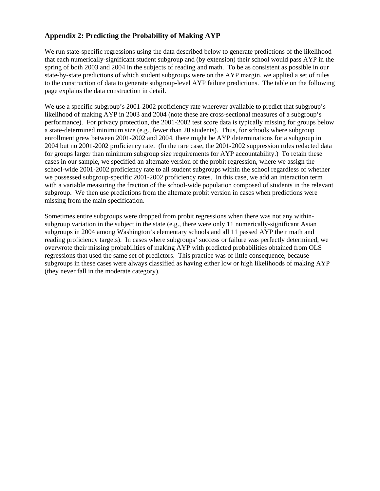# **Appendix 2: Predicting the Probability of Making AYP**

We run state-specific regressions using the data described below to generate predictions of the likelihood that each numerically-significant student subgroup and (by extension) their school would pass AYP in the spring of both 2003 and 2004 in the subjects of reading and math. To be as consistent as possible in our state-by-state predictions of which student subgroups were on the AYP margin, we applied a set of rules to the construction of data to generate subgroup-level AYP failure predictions. The table on the following page explains the data construction in detail.

We use a specific subgroup's 2001-2002 proficiency rate wherever available to predict that subgroup's likelihood of making AYP in 2003 and 2004 (note these are cross-sectional measures of a subgroup's performance). For privacy protection, the 2001-2002 test score data is typically missing for groups below a state-determined minimum size (e.g., fewer than 20 students). Thus, for schools where subgroup enrollment grew between 2001-2002 and 2004, there might be AYP determinations for a subgroup in 2004 but no 2001-2002 proficiency rate. (In the rare case, the 2001-2002 suppression rules redacted data for groups larger than minimum subgroup size requirements for AYP accountability.) To retain these cases in our sample, we specified an alternate version of the probit regression, where we assign the school-wide 2001-2002 proficiency rate to all student subgroups within the school regardless of whether we possessed subgroup-specific 2001-2002 proficiency rates. In this case, we add an interaction term with a variable measuring the fraction of the school-wide population composed of students in the relevant subgroup. We then use predictions from the alternate probit version in cases when predictions were missing from the main specification.

Sometimes entire subgroups were dropped from probit regressions when there was not any withinsubgroup variation in the subject in the state (e.g., there were only 11 numerically-significant Asian subgroups in 2004 among Washington's elementary schools and all 11 passed AYP their math and reading proficiency targets). In cases where subgroups' success or failure was perfectly determined, we overwrote their missing probabilities of making AYP with predicted probabilities obtained from OLS regressions that used the same set of predictors. This practice was of little consequence, because subgroups in these cases were always classified as having either low or high likelihoods of making AYP (they never fall in the moderate category).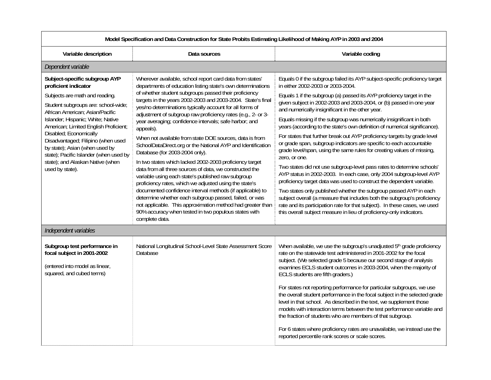| Model Specification and Data Construction for State Probits Estimating Likelihood of Making AYP in 2003 and 2004                                                                                                                                                                                                                                                                                                                                   |                                                                                                                                                                                                                                                                                                                                                                                                                                                                                                                                                                                                                                                                                                                                                                                                                                                                                                                                                                                                                                                                                                                     |                                                                                                                                                                                                                                                                                                                                                                                                                                                                                                                                                                                                                                                                                                                                                                                                                                                                                                                                                                                                                                                                                                                                                                                                                                                           |  |  |
|----------------------------------------------------------------------------------------------------------------------------------------------------------------------------------------------------------------------------------------------------------------------------------------------------------------------------------------------------------------------------------------------------------------------------------------------------|---------------------------------------------------------------------------------------------------------------------------------------------------------------------------------------------------------------------------------------------------------------------------------------------------------------------------------------------------------------------------------------------------------------------------------------------------------------------------------------------------------------------------------------------------------------------------------------------------------------------------------------------------------------------------------------------------------------------------------------------------------------------------------------------------------------------------------------------------------------------------------------------------------------------------------------------------------------------------------------------------------------------------------------------------------------------------------------------------------------------|-----------------------------------------------------------------------------------------------------------------------------------------------------------------------------------------------------------------------------------------------------------------------------------------------------------------------------------------------------------------------------------------------------------------------------------------------------------------------------------------------------------------------------------------------------------------------------------------------------------------------------------------------------------------------------------------------------------------------------------------------------------------------------------------------------------------------------------------------------------------------------------------------------------------------------------------------------------------------------------------------------------------------------------------------------------------------------------------------------------------------------------------------------------------------------------------------------------------------------------------------------------|--|--|
| Variable description                                                                                                                                                                                                                                                                                                                                                                                                                               | Data sources                                                                                                                                                                                                                                                                                                                                                                                                                                                                                                                                                                                                                                                                                                                                                                                                                                                                                                                                                                                                                                                                                                        | Variable coding                                                                                                                                                                                                                                                                                                                                                                                                                                                                                                                                                                                                                                                                                                                                                                                                                                                                                                                                                                                                                                                                                                                                                                                                                                           |  |  |
| Dependent variable                                                                                                                                                                                                                                                                                                                                                                                                                                 |                                                                                                                                                                                                                                                                                                                                                                                                                                                                                                                                                                                                                                                                                                                                                                                                                                                                                                                                                                                                                                                                                                                     |                                                                                                                                                                                                                                                                                                                                                                                                                                                                                                                                                                                                                                                                                                                                                                                                                                                                                                                                                                                                                                                                                                                                                                                                                                                           |  |  |
| Subject-specific subgroup AYP<br>proficient indicator<br>Subjects are math and reading.<br>Student subgroups are: school-wide;<br>African American; Asian/Pacific<br>Islander; Hispanic; White; Native<br>American; Limited English Proficient;<br>Disabled; Economically<br>Disadvantaged; Filipino (when used<br>by state); Asian (when used by<br>state); Pacific Islander (when used by<br>state); and Alaskan Native (when<br>used by state). | Wherever available, school report card data from states'<br>departments of education listing state's own determinations<br>of whether student subgroups passed their proficiency<br>targets in the years 2002-2003 and 2003-2004. State's final<br>yes/no determinations typically account for all forms of<br>adjustment of subgroup raw proficiency rates (e.g., 2- or 3-<br>year averaging; confidence intervals; safe harbor; and<br>appeals).<br>When not available from state DOE sources, data is from<br>SchoolDataDirect.org or the National AYP and Identification<br>Database (for 2003-2004 only).<br>In two states which lacked 2002-2003 proficiency target<br>data from all three sources of data, we constructed the<br>variable using each state's published raw subgroup<br>proficiency rates, which we adjusted using the state's<br>documented confidence interval methods (if applicable) to<br>determine whether each subgroup passed, failed, or was<br>not applicable. This approximation method had greater than<br>90% accuracy when tested in two populous states with<br>complete data. | Equals 0 if the subgroup failed its AYP subject-specific proficiency target<br>in either 2002-2003 or 2003-2004.<br>Equals 1 if the subgroup (a) passed its AYP proficiency target in the<br>given subject in 2002-2003 and 2003-2004, or (b) passed in one year<br>and numerically insignificant in the other year.<br>Equals missing if the subgroup was numerically insignificant in both<br>years (according to the state's own definition of numerical significance).<br>For states that further break out AYP proficiency targets by grade level<br>or grade span, subgroup indicators are specific to each accountable<br>grade level/span, using the same rules for creating values of missing,<br>zero, or one.<br>Two states did not use subgroup-level pass rates to determine schools'<br>AYP status in 2002-2003. In each case, only 2004 subgroup-level AYP<br>proficiency target data was used to construct the dependent variable.<br>Two states only published whether the subgroup passed AYP in each<br>subject overall (a measure that includes both the subgroup's proficiency<br>rate and its participation rate for that subject). In these cases, we used<br>this overall subject measure in lieu of proficiency-only indicators. |  |  |
| Independent variables                                                                                                                                                                                                                                                                                                                                                                                                                              |                                                                                                                                                                                                                                                                                                                                                                                                                                                                                                                                                                                                                                                                                                                                                                                                                                                                                                                                                                                                                                                                                                                     |                                                                                                                                                                                                                                                                                                                                                                                                                                                                                                                                                                                                                                                                                                                                                                                                                                                                                                                                                                                                                                                                                                                                                                                                                                                           |  |  |
| Subgroup test performance in<br>focal subject in 2001-2002<br>(entered into model as linear,<br>squared, and cubed terms)                                                                                                                                                                                                                                                                                                                          | National Longitudinal School-Level State Assessment Score<br>Database                                                                                                                                                                                                                                                                                                                                                                                                                                                                                                                                                                                                                                                                                                                                                                                                                                                                                                                                                                                                                                               | When available, we use the subgroup's unadjusted 5 <sup>th</sup> grade proficiency<br>rate on the statewide test administered in 2001-2002 for the focal<br>subject. (We selected grade 5 because our second stage of analysis<br>examines ECLS student outcomes in 2003-2004, when the majority of<br>ECLS students are fifth graders.)<br>For states not reporting performance for particular subgroups, we use<br>the overall student performance in the focal subject in the selected grade<br>level in that school. As described in the text, we supplement those<br>models with interaction terms between the test performance variable and<br>the fraction of students who are members of that subgroup.<br>For 6 states where proficiency rates are unavailable, we instead use the<br>reported percentile rank scores or scale scores.                                                                                                                                                                                                                                                                                                                                                                                                           |  |  |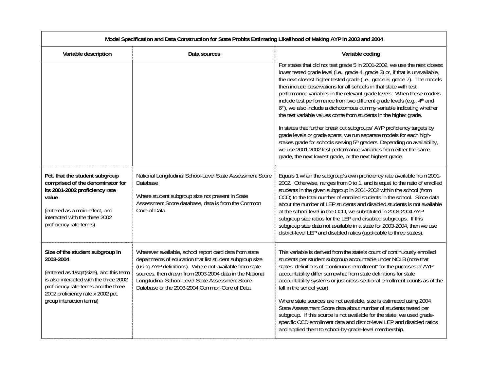| Model Specification and Data Construction for State Probits Estimating Likelihood of Making AYP in 2003 and 2004                                                                                                                           |                                                                                                                                                                                                                                                                                                                                                |                                                                                                                                                                                                                                                                                                                                                                                                                                                                                                                                                                                                                                                                                                                                                              |  |  |
|--------------------------------------------------------------------------------------------------------------------------------------------------------------------------------------------------------------------------------------------|------------------------------------------------------------------------------------------------------------------------------------------------------------------------------------------------------------------------------------------------------------------------------------------------------------------------------------------------|--------------------------------------------------------------------------------------------------------------------------------------------------------------------------------------------------------------------------------------------------------------------------------------------------------------------------------------------------------------------------------------------------------------------------------------------------------------------------------------------------------------------------------------------------------------------------------------------------------------------------------------------------------------------------------------------------------------------------------------------------------------|--|--|
| Variable description                                                                                                                                                                                                                       | Data sources                                                                                                                                                                                                                                                                                                                                   | Variable coding                                                                                                                                                                                                                                                                                                                                                                                                                                                                                                                                                                                                                                                                                                                                              |  |  |
|                                                                                                                                                                                                                                            |                                                                                                                                                                                                                                                                                                                                                | For states that did not test grade 5 in 2001-2002, we use the next closest<br>lower tested grade level (i.e., grade 4, grade 3) or, if that is unavailable,<br>the next closest higher tested grade (i.e., grade 6, grade 7). The models<br>then include observations for all schools in that state with test<br>performance variables in the relevant grade levels. When these models<br>include test performance from two different grade levels (e.g., 4 <sup>th</sup> and<br>6th), we also include a dichotomous dummy variable indicating whether<br>the test variable values come from students in the higher grade.                                                                                                                                   |  |  |
|                                                                                                                                                                                                                                            |                                                                                                                                                                                                                                                                                                                                                | In states that further break out subgroups' AYP proficiency targets by<br>grade levels or grade spans, we run separate models for each high-<br>stakes grade for schools serving 5 <sup>th</sup> graders. Depending on availability,<br>we use 2001-2002 test performance variables from either the same<br>grade, the next lowest grade, or the next highest grade.                                                                                                                                                                                                                                                                                                                                                                                         |  |  |
| Pct. that the student subgroup<br>comprised of the denominator for<br>its 2001-2002 proficiency rate<br>value<br>(entered as a main effect, and<br>interacted with the three 2002<br>proficiency rate terms)                               | National Longitudinal School-Level State Assessment Score<br>Database<br>Where student subgroup size not present in State<br>Assessment Score database, data is from the Common<br>Core of Data.                                                                                                                                               | Equals 1 when the subgroup's own proficiency rate available from 2001-<br>2002. Otherwise, ranges from 0 to 1, and is equal to the ratio of enrolled<br>students in the given subgroup in 2001-2002 within the school (from<br>CCD) to the total number of enrolled students in the school. Since data<br>about the number of LEP students and disabled students is not available<br>at the school level in the CCD, we substituted in 2003-2004 AYP<br>subgroup size ratios for the LEP and disabled subgroups. If this<br>subgroup size data not available in a state for 2003-2004, then we use<br>district-level LEP and disabled ratios (applicable to three states).                                                                                   |  |  |
| Size of the student subgroup in<br>2003-2004<br>(entered as 1/sqrt(size), and this term<br>is also interacted with the three 2002<br>proficiency rate terms and the three<br>2002 proficiency rate x 2002 pct.<br>group interaction terms) | Wherever available, school report card data from state<br>departments of education that list student subgroup size<br>(using AYP definitions). Where not available from state<br>sources, then drawn from 2003-2004 data in the National<br>Longitudinal School-Level State Assessment Score<br>Database or the 2003-2004 Common Core of Data. | This variable is derived from the state's count of continuously enrolled<br>students per student subgroup accountable under NCLB (note that<br>states' definitions of "continuous enrollment" for the purposes of AYP<br>accountability differ somewhat from state definitions for state<br>accountability systems or just cross-sectional enrollment counts as of the<br>fall in the school year).<br>Where state sources are not available, size is estimated using 2004<br>State Assessment Score data about number of students tested per<br>subgroup. If this source is not available for the state, we used grade-<br>specific CCD enrollment data and district-level LEP and disabled ratios<br>and applied them to school-by-grade-level membership. |  |  |